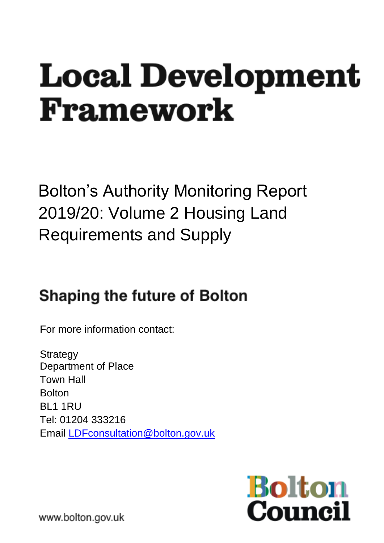# **Local Development** Framework

Bolton's Authority Monitoring Report 2019/20: Volume 2 Housing Land Requirements and Supply

# **Shaping the future of Bolton**

For more information contact:

**Strategy** Department of Place Town Hall Bolton BL1 1RU Tel: 01204 333216 Email [LDFconsultation@bolton.gov.uk](mailto:LDFconsultation@bolton.gov.uk)



www.bolton.gov.uk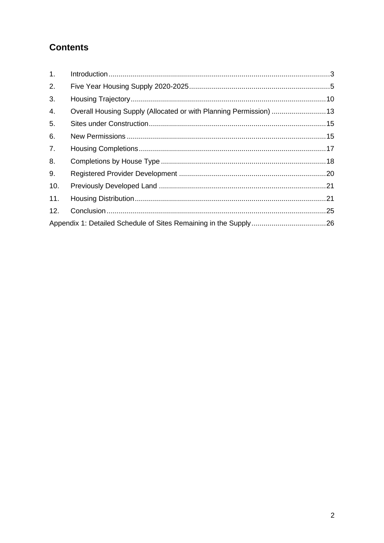# **Contents**

| 1.               |                                                                   |  |
|------------------|-------------------------------------------------------------------|--|
| 2.               |                                                                   |  |
| 3.               |                                                                   |  |
| $\overline{4}$ . | Overall Housing Supply (Allocated or with Planning Permission) 13 |  |
| 5.               |                                                                   |  |
| 6.               |                                                                   |  |
| 7.               |                                                                   |  |
| 8.               |                                                                   |  |
| 9.               |                                                                   |  |
| 10.              |                                                                   |  |
| 11.              |                                                                   |  |
| 12.              |                                                                   |  |
|                  |                                                                   |  |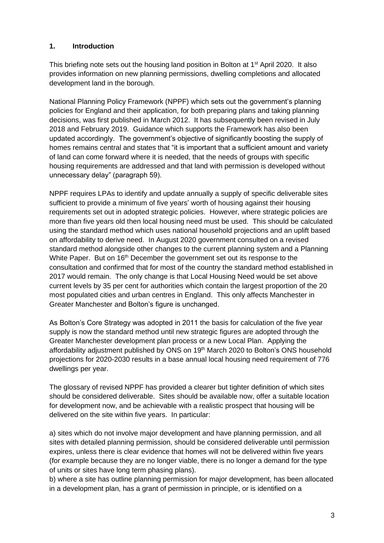#### <span id="page-2-0"></span>**1. Introduction**

This briefing note sets out the housing land position in Bolton at 1<sup>st</sup> April 2020. It also provides information on new planning permissions, dwelling completions and allocated development land in the borough.

National Planning Policy Framework (NPPF) which sets out the government's planning policies for England and their application, for both preparing plans and taking planning decisions, was first published in March 2012. It has subsequently been revised in July 2018 and February 2019. Guidance which supports the Framework has also been updated accordingly. The government's objective of significantly boosting the supply of homes remains central and states that "it is important that a sufficient amount and variety of land can come forward where it is needed, that the needs of groups with specific housing requirements are addressed and that land with permission is developed without unnecessary delay" (paragraph 59).

NPPF requires LPAs to identify and update annually a supply of specific deliverable sites sufficient to provide a minimum of five years' worth of housing against their housing requirements set out in adopted strategic policies. However, where strategic policies are more than five years old then local housing need must be used. This should be calculated using the standard method which uses national household projections and an uplift based on affordability to derive need. In August 2020 government consulted on a revised standard method alongside other changes to the current planning system and a Planning White Paper. But on  $16<sup>th</sup>$  December the government set out its response to the consultation and confirmed that for most of the country the standard method established in 2017 would remain. The only change is that Local Housing Need would be set above current levels by 35 per cent for authorities which contain the largest proportion of the 20 most populated cities and urban centres in England. This only affects Manchester in Greater Manchester and Bolton's figure is unchanged.

As Bolton's Core Strategy was adopted in 2011 the basis for calculation of the five year supply is now the standard method until new strategic figures are adopted through the Greater Manchester development plan process or a new Local Plan. Applying the affordability adjustment published by ONS on 19<sup>th</sup> March 2020 to Bolton's ONS household projections for 2020-2030 results in a base annual local housing need requirement of 776 dwellings per year.

The glossary of revised NPPF has provided a clearer but tighter definition of which sites should be considered deliverable. Sites should be available now, offer a suitable location for development now, and be achievable with a realistic prospect that housing will be delivered on the site within five years. In particular:

a) sites which do not involve major development and have planning permission, and all sites with detailed planning permission, should be considered deliverable until permission expires, unless there is clear evidence that homes will not be delivered within five years (for example because they are no longer viable, there is no longer a demand for the type of units or sites have long term phasing plans).

b) where a site has outline planning permission for major development, has been allocated in a development plan, has a grant of permission in principle, or is identified on a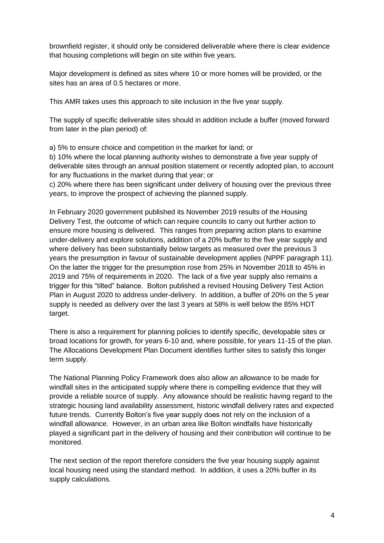brownfield register, it should only be considered deliverable where there is clear evidence that housing completions will begin on site within five years.

Major development is defined as sites where 10 or more homes will be provided, or the sites has an area of 0.5 hectares or more.

This AMR takes uses this approach to site inclusion in the five year supply.

The supply of specific deliverable sites should in addition include a buffer (moved forward from later in the plan period) of:

a) 5% to ensure choice and competition in the market for land; or

b) 10% where the local planning authority wishes to demonstrate a five year supply of deliverable sites through an annual position statement or recently adopted plan, to account for any fluctuations in the market during that year; or

c) 20% where there has been significant under delivery of housing over the previous three years, to improve the prospect of achieving the planned supply.

In February 2020 government published its November 2019 results of the Housing Delivery Test, the outcome of which can require councils to carry out further action to ensure more housing is delivered. This ranges from preparing action plans to examine under-delivery and explore solutions, addition of a 20% buffer to the five year supply and where delivery has been substantially below targets as measured over the previous 3 years the presumption in favour of sustainable development applies (NPPF paragraph 11). On the latter the trigger for the presumption rose from 25% in November 2018 to 45% in 2019 and 75% of requirements in 2020. The lack of a five year supply also remains a trigger for this "tilted" balance. Bolton published a revised Housing Delivery Test Action Plan in August 2020 to address under-delivery. In addition, a buffer of 20% on the 5 year supply is needed as delivery over the last 3 years at 58% is well below the 85% HDT target.

There is also a requirement for planning policies to identify specific, developable sites or broad locations for growth, for years 6-10 and, where possible, for years 11-15 of the plan. The Allocations Development Plan Document identifies further sites to satisfy this longer term supply.

The National Planning Policy Framework does also allow an allowance to be made for windfall sites in the anticipated supply where there is compelling evidence that they will provide a reliable source of supply. Any allowance should be realistic having regard to the strategic housing land availability assessment, historic windfall delivery rates and expected future trends. Currently Bolton's five year supply does not rely on the inclusion of a windfall allowance. However, in an urban area like Bolton windfalls have historically played a significant part in the delivery of housing and their contribution will continue to be monitored.

The next section of the report therefore considers the five year housing supply against local housing need using the standard method. In addition, it uses a 20% buffer in its supply calculations.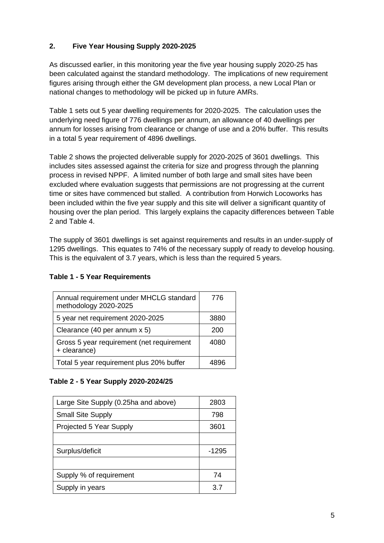#### <span id="page-4-0"></span>**2. Five Year Housing Supply 2020-2025**

As discussed earlier, in this monitoring year the five year housing supply 2020-25 has been calculated against the standard methodology. The implications of new requirement figures arising through either the GM development plan process, a new Local Plan or national changes to methodology will be picked up in future AMRs.

Table 1 sets out 5 year dwelling requirements for 2020-2025. The calculation uses the underlying need figure of 776 dwellings per annum, an allowance of 40 dwellings per annum for losses arising from clearance or change of use and a 20% buffer. This results in a total 5 year requirement of 4896 dwellings.

Table 2 shows the projected deliverable supply for 2020-2025 of 3601 dwellings. This includes sites assessed against the criteria for size and progress through the planning process in revised NPPF. A limited number of both large and small sites have been excluded where evaluation suggests that permissions are not progressing at the current time or sites have commenced but stalled. A contribution from Horwich Locoworks has been included within the five year supply and this site will deliver a significant quantity of housing over the plan period. This largely explains the capacity differences between Table 2 and Table 4.

The supply of 3601 dwellings is set against requirements and results in an under-supply of 1295 dwellings. This equates to 74% of the necessary supply of ready to develop housing. This is the equivalent of 3.7 years, which is less than the required 5 years.

| Annual requirement under MHCLG standard<br>methodology 2020-2025 | 776  |
|------------------------------------------------------------------|------|
| 5 year net requirement 2020-2025                                 | 3880 |
| Clearance (40 per annum x 5)                                     | 200  |
| Gross 5 year requirement (net requirement<br>+ clearance)        | 4080 |
| Total 5 year requirement plus 20% buffer                         |      |

#### **Table 1 - 5 Year Requirements**

#### **Table 2 - 5 Year Supply 2020-2024/25**

| Large Site Supply (0.25ha and above) | 2803  |
|--------------------------------------|-------|
| <b>Small Site Supply</b>             | 798   |
| Projected 5 Year Supply              | 3601  |
|                                      |       |
| Surplus/deficit                      | -1295 |
|                                      |       |
| Supply % of requirement              | 74    |
| Supply in years                      | 37    |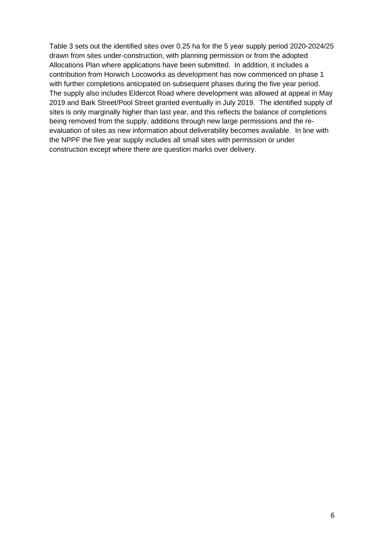Table 3 sets out the identified sites over 0.25 ha for the 5 year supply period 2020-2024/25 drawn from sites under-construction, with planning permission or from the adopted Allocations Plan where applications have been submitted. In addition, it includes a contribution from Horwich Locoworks as development has now commenced on phase 1 with further completions anticipated on subsequent phases during the five year period. The supply also includes Eldercot Road where development was allowed at appeal in May 2019 and Bark Street/Pool Street granted eventually in July 2019. The identified supply of sites is only marginally higher than last year, and this reflects the balance of completions being removed from the supply, additions through new large permissions and the reevaluation of sites as new information about deliverability becomes available. In line with the NPPF the five year supply includes all small sites with permission or under construction except where there are question marks over delivery.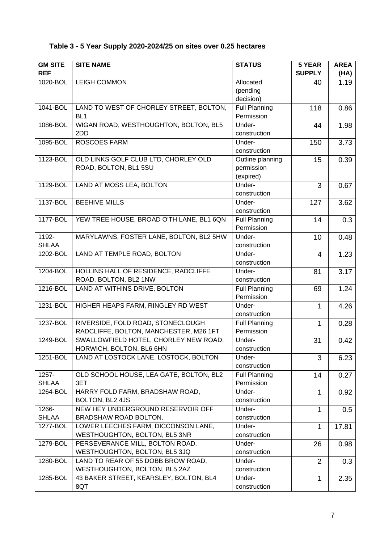#### **Table 3 - 5 Year Supply 2020-2024/25 on sites over 0.25 hectares**

| <b>GM SITE</b> | <b>SITE NAME</b>                         | <b>STATUS</b>        | 5 YEAR         | <b>AREA</b> |
|----------------|------------------------------------------|----------------------|----------------|-------------|
| <b>REF</b>     |                                          |                      | <b>SUPPLY</b>  | (HA)        |
| 1020-BOL       | <b>LEIGH COMMON</b>                      | Allocated            | 40             | 1.19        |
|                |                                          | (pending             |                |             |
|                |                                          | decision)            |                |             |
| 1041-BOL       | LAND TO WEST OF CHORLEY STREET, BOLTON,  | <b>Full Planning</b> | 118            | 0.86        |
|                | BL <sub>1</sub>                          | Permission           |                |             |
| 1086-BOL       | WIGAN ROAD, WESTHOUGHTON, BOLTON, BL5    | Under-               | 44             | 1.98        |
|                | 2DD                                      | construction         |                |             |
| 1095-BOL       | <b>ROSCOES FARM</b>                      | Under-               | 150            | 3.73        |
|                |                                          | construction         |                |             |
| 1123-BOL       | OLD LINKS GOLF CLUB LTD, CHORLEY OLD     | Outline planning     | 15             | 0.39        |
|                | ROAD, BOLTON, BL1 5SU                    | permission           |                |             |
|                |                                          | (expired)            |                |             |
| 1129-BOL       | LAND AT MOSS LEA, BOLTON                 | Under-               | 3              | 0.67        |
|                |                                          | construction         |                |             |
| 1137-BOL       | <b>BEEHIVE MILLS</b>                     | Under-               | 127            | 3.62        |
|                |                                          | construction         |                |             |
| 1177-BOL       | YEW TREE HOUSE, BROAD O'TH LANE, BL1 6QN | <b>Full Planning</b> | 14             | 0.3         |
|                |                                          | Permission           |                |             |
| 1192-          | MARYLAWNS, FOSTER LANE, BOLTON, BL2 5HW  | Under-               | 10             | 0.48        |
| <b>SHLAA</b>   |                                          | construction         |                |             |
| 1202-BOL       | LAND AT TEMPLE ROAD, BOLTON              | Under-               | 4              | 1.23        |
|                |                                          | construction         |                |             |
| 1204-BOL       | HOLLINS HALL OF RESIDENCE, RADCLIFFE     | Under-               | 81             | 3.17        |
|                | ROAD, BOLTON, BL2 1NW                    | construction         |                |             |
| 1216-BOL       | LAND AT WITHINS DRIVE, BOLTON            | <b>Full Planning</b> | 69             | 1.24        |
|                |                                          | Permission           |                |             |
| 1231-BOL       | HIGHER HEAPS FARM, RINGLEY RD WEST       | Under-               | 1              | 4.26        |
|                |                                          | construction         |                |             |
| 1237-BOL       | RIVERSIDE, FOLD ROAD, STONECLOUGH        | <b>Full Planning</b> | 1              | 0.28        |
|                | RADCLIFFE, BOLTON, MANCHESTER, M26 1FT   | Permission           |                |             |
| 1249-BOL       | SWALLOWFIELD HOTEL, CHORLEY NEW ROAD,    | Under-               | 31             | 0.42        |
|                | HORWICH, BOLTON, BL6 6HN                 | construction         |                |             |
| 1251-BOL       | LAND AT LOSTOCK LANE, LOSTOCK, BOLTON    | Under-               | 3              | 6.23        |
|                |                                          | construction         |                |             |
| $1257 -$       | OLD SCHOOL HOUSE, LEA GATE, BOLTON, BL2  | <b>Full Planning</b> | 14             | 0.27        |
| <b>SHLAA</b>   | 3ET                                      | Permission           |                |             |
| 1264-BOL       | HARRY FOLD FARM, BRADSHAW ROAD,          | Under-               | 1              | 0.92        |
|                | BOLTON, BL2 4JS                          | construction         |                |             |
| 1266-          | NEW HEY UNDERGROUND RESERVOIR OFF        | Under-               | 1              | 0.5         |
| <b>SHLAA</b>   | BRADSHAW ROAD BOLTON.                    | construction         |                |             |
| 1277-BOL       | LOWER LEECHES FARM, DICCONSON LANE,      | Under-               | 1              | 17.81       |
|                | WESTHOUGHTON, BOLTON, BL5 3NR            | construction         |                |             |
| 1279-BOL       | PERSEVERANCE MILL, BOLTON ROAD,          | Under-               | 26             | 0.98        |
|                | WESTHOUGHTON, BOLTON, BL5 3JQ            | construction         |                |             |
| 1280-BOL       | LAND TO REAR OF 55 DOBB BROW ROAD,       | Under-               | $\overline{2}$ | 0.3         |
|                | WESTHOUGHTON, BOLTON, BL5 2AZ            | construction         |                |             |
| 1285-BOL       | 43 BAKER STREET, KEARSLEY, BOLTON, BL4   | Under-               | 1              | 2.35        |
|                | 8QT                                      | construction         |                |             |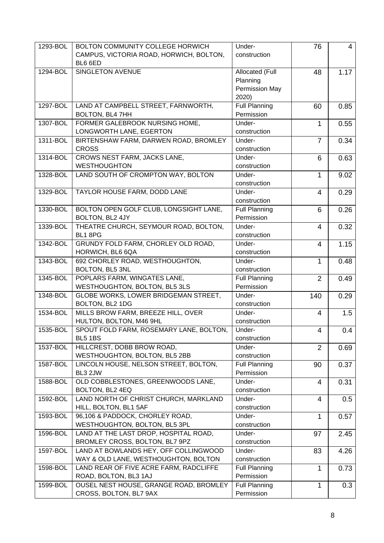| 1293-BOL | <b>BOLTON COMMUNITY COLLEGE HORWICH</b> | Under-               | 76             | $\overline{4}$ |
|----------|-----------------------------------------|----------------------|----------------|----------------|
|          |                                         |                      |                |                |
|          | CAMPUS, VICTORIA ROAD, HORWICH, BOLTON, | construction         |                |                |
|          | BL6 6ED                                 |                      |                |                |
| 1294-BOL | <b>SINGLETON AVENUE</b>                 | Allocated (Full      | 48             | 1.17           |
|          |                                         | Planning             |                |                |
|          |                                         | Permission May       |                |                |
|          |                                         | 2020)                |                |                |
| 1297-BOL | LAND AT CAMPBELL STREET, FARNWORTH,     | <b>Full Planning</b> | 60             | 0.85           |
|          | <b>BOLTON, BL4 7HH</b>                  | Permission           |                |                |
|          |                                         |                      |                |                |
| 1307-BOL | FORMER GALEBROOK NURSING HOME,          | Under-               | 1              | 0.55           |
|          | LONGWORTH LANE, EGERTON                 | construction         |                |                |
| 1311-BOL | BIRTENSHAW FARM, DARWEN ROAD, BROMLEY   | Under-               | $\overline{7}$ | 0.34           |
|          | <b>CROSS</b>                            | construction         |                |                |
| 1314-BOL | CROWS NEST FARM, JACKS LANE,            | Under-               | 6              | 0.63           |
|          | <b>WESTHOUGHTON</b>                     | construction         |                |                |
| 1328-BOL | LAND SOUTH OF CROMPTON WAY, BOLTON      | Under-               | 1              | 9.02           |
|          |                                         | construction         |                |                |
| 1329-BOL | TAYLOR HOUSE FARM, DODD LANE            | Under-               | 4              | 0.29           |
|          |                                         | construction         |                |                |
|          |                                         |                      |                |                |
| 1330-BOL | BOLTON OPEN GOLF CLUB, LONGSIGHT LANE,  | <b>Full Planning</b> | 6              | 0.26           |
|          | BOLTON, BL2 4JY                         | Permission           |                |                |
| 1339-BOL | THEATRE CHURCH, SEYMOUR ROAD, BOLTON,   | Under-               | $\overline{4}$ | 0.32           |
|          | BL18PG                                  | construction         |                |                |
| 1342-BOL | GRUNDY FOLD FARM, CHORLEY OLD ROAD,     | Under-               | $\overline{4}$ | 1.15           |
|          | HORWICH, BL6 6QA                        | construction         |                |                |
| 1343-BOL | 692 CHORLEY ROAD, WESTHOUGHTON,         | Under-               | 1              | 0.48           |
|          | BOLTON, BL5 3NL                         | construction         |                |                |
| 1345-BOL | POPLARS FARM, WINGATES LANE,            | <b>Full Planning</b> | $\overline{2}$ | 0.49           |
|          | WESTHOUGHTON, BOLTON, BL5 3LS           | Permission           |                |                |
|          |                                         |                      |                |                |
| 1348-BOL | GLOBE WORKS, LOWER BRIDGEMAN STREET,    | Under-               | 140            | 0.29           |
|          | BOLTON, BL2 1DG                         | construction         |                |                |
| 1534-BOL | MILLS BROW FARM, BREEZE HILL, OVER      | Under-               | 4              | 1.5            |
|          | HULTON, BOLTON, M46 9HL                 | construction         |                |                |
| 1535-BOL | SPOUT FOLD FARM, ROSEMARY LANE, BOLTON, | Under-               | 4              | 0.4            |
|          | <b>BL5 1BS</b>                          | construction         |                |                |
| 1537-BOL | HILLCREST, DOBB BROW ROAD,              | Under-               | 2              | 0.69           |
|          | WESTHOUGHTON, BOLTON, BL5 2BB           | construction         |                |                |
| 1587-BOL | LINCOLN HOUSE, NELSON STREET, BOLTON,   | <b>Full Planning</b> | 90             | 0.37           |
|          |                                         |                      |                |                |
|          | BL3 2JW                                 | Permission           |                |                |
| 1588-BOL | OLD COBBLESTONES, GREENWOODS LANE,      | Under-               | 4              | 0.31           |
|          | BOLTON, BL2 4EQ                         | construction         |                |                |
| 1592-BOL | LAND NORTH OF CHRIST CHURCH, MARKLAND   | Under-               | 4              | 0.5            |
|          | HILL, BOLTON, BL1 5AF                   | construction         |                |                |
| 1593-BOL | 96,106 & PADDOCK, CHORLEY ROAD,         | Under-               | 1              | 0.57           |
|          | WESTHOUGHTON, BOLTON, BL5 3PL           | construction         |                |                |
| 1596-BOL | LAND AT THE LAST DROP, HOSPITAL ROAD,   | Under-               | 97             | 2.45           |
|          | BROMLEY CROSS, BOLTON, BL7 9PZ          | construction         |                |                |
| 1597-BOL | LAND AT BOWLANDS HEY, OFF COLLINGWOOD   | Under-               | 83             | 4.26           |
|          |                                         |                      |                |                |
|          | WAY & OLD LANE, WESTHOUGHTON, BOLTON    | construction         |                |                |
| 1598-BOL | LAND REAR OF FIVE ACRE FARM, RADCLIFFE  | <b>Full Planning</b> | 1              | 0.73           |
|          | ROAD, BOLTON, BL3 1AJ                   | Permission           |                |                |
| 1599-BOL | OUSEL NEST HOUSE, GRANGE ROAD, BROMLEY  | <b>Full Planning</b> | 1              | 0.3            |
|          | CROSS, BOLTON, BL7 9AX                  | Permission           |                |                |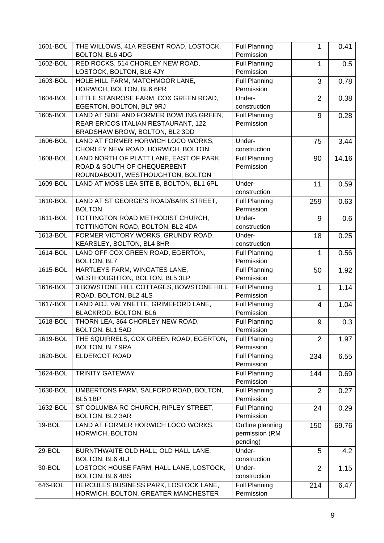| 1601-BOL | THE WILLOWS, 41A REGENT ROAD, LOSTOCK,   | <b>Full Planning</b>       | 1              | 0.41  |
|----------|------------------------------------------|----------------------------|----------------|-------|
|          | BOLTON, BL6 4DG                          | Permission                 |                |       |
| 1602-BOL | RED ROCKS, 514 CHORLEY NEW ROAD,         | <b>Full Planning</b>       | 1              | 0.5   |
|          | LOSTOCK, BOLTON, BL6 4JY                 | Permission                 |                |       |
| 1603-BOL | HOLE HILL FARM, MATCHMOOR LANE,          | <b>Full Planning</b>       | 3              | 0.78  |
|          | HORWICH, BOLTON, BL6 6PR                 | Permission                 |                |       |
| 1604-BOL | LITTLE STANROSE FARM, COX GREEN ROAD,    | Under-                     | $\overline{2}$ | 0.38  |
|          | EGERTON, BOLTON, BL7 9RJ                 | construction               |                |       |
| 1605-BOL | LAND AT SIDE AND FORMER BOWLING GREEN,   | <b>Full Planning</b>       | 9              | 0.28  |
|          | REAR ERICOS ITALIAN RESTAURANT, 122      | Permission                 |                |       |
|          | BRADSHAW BROW, BOLTON, BL2 3DD           |                            |                |       |
| 1606-BOL | LAND AT FORMER HORWICH LOCO WORKS,       | Under-                     | 75             | 3.44  |
|          | CHORLEY NEW ROAD, HORWICH, BOLTON        | construction               |                |       |
| 1608-BOL | LAND NORTH OF PLATT LANE, EAST OF PARK   | <b>Full Planning</b>       | 90             | 14.16 |
|          | ROAD & SOUTH OF CHEQUERBENT              | Permission                 |                |       |
|          | ROUNDABOUT, WESTHOUGHTON, BOLTON         |                            |                |       |
| 1609-BOL | LAND AT MOSS LEA SITE B, BOLTON, BL1 6PL | Under-                     | 11             | 0.59  |
|          |                                          | construction               |                |       |
| 1610-BOL | LAND AT ST GEORGE'S ROAD/BARK STREET,    | <b>Full Planning</b>       | 259            | 0.63  |
|          | <b>BOLTON</b>                            | Permission                 |                |       |
| 1611-BOL | TOTTINGTON ROAD METHODIST CHURCH,        | Under-                     | 9              | 0.6   |
|          | TOTTINGTON ROAD, BOLTON, BL2 4DA         | construction               |                |       |
| 1613-BOL | FORMER VICTORY WORKS, GRUNDY ROAD,       | Under-                     | 18             | 0.25  |
|          | KEARSLEY, BOLTON, BL4 8HR                | construction               |                |       |
| 1614-BOL | LAND OFF COX GREEN ROAD, EGERTON,        | <b>Full Planning</b>       | 1              | 0.56  |
|          | BOLTON, BL7                              | Permission                 |                |       |
| 1615-BOL | HARTLEYS FARM, WINGATES LANE,            | <b>Full Planning</b>       | 50             | 1.92  |
|          | WESTHOUGHTON, BOLTON, BL5 3LP            | Permission                 |                |       |
| 1616-BOL | 3 BOWSTONE HILL COTTAGES, BOWSTONE HILL  | <b>Full Planning</b>       | 1              | 1.14  |
|          | ROAD, BOLTON, BL2 4LS                    | Permission                 |                |       |
| 1617-BOL | LAND ADJ. VALYNETTE, GRIMEFORD LANE,     | <b>Full Planning</b>       | 4              | 1.04  |
|          | BLACKROD, BOLTON, BL6                    | Permission                 |                |       |
| 1618-BOL | THORN LEA, 364 CHORLEY NEW ROAD,         | <b>Full Planning</b>       | 9              | 0.3   |
|          | BOLTON, BL1 5AD                          | Permission                 |                |       |
| 1619-BOL | THE SQUIRRELS, COX GREEN ROAD, EGERTON,  | <b>Full Planning</b>       | $\overline{2}$ | 1.97  |
|          | BOLTON, BL7 9RA                          | Permission                 |                |       |
| 1620-BOL | ELDERCOT ROAD                            | <b>Full Planning</b>       | 234            | 6.55  |
|          |                                          | Permission                 |                |       |
| 1624-BOL | <b>TRINITY GATEWAY</b>                   | <b>Full Planning</b>       | 144            | 0.69  |
|          |                                          | Permission                 |                |       |
| 1630-BOL | UMBERTONS FARM, SALFORD ROAD, BOLTON,    | <b>Full Planning</b>       | 2              | 0.27  |
|          | BL5 1BP                                  | Permission                 |                |       |
| 1632-BOL | ST COLUMBA RC CHURCH, RIPLEY STREET,     | <b>Full Planning</b>       | 24             | 0.29  |
|          | BOLTON, BL2 3AR                          | Permission                 |                |       |
| 19-BOL   | LAND AT FORMER HORWICH LOCO WORKS,       | Outline planning           |                |       |
|          |                                          |                            | 150            | 69.76 |
|          | HORWICH, BOLTON                          | permission (RM<br>pending) |                |       |
|          |                                          |                            |                |       |
| 29-BOL   | BURNTHWAITE OLD HALL, OLD HALL LANE,     | Under-                     | 5              | 4.2   |
|          | BOLTON, BL6 4LJ                          | construction               |                |       |
| 30-BOL   | LOSTOCK HOUSE FARM, HALL LANE, LOSTOCK,  | Under-                     | $\overline{2}$ | 1.15  |
|          | BOLTON, BL6 4BS                          | construction               |                |       |
| 646-BOL  | HERCULES BUSINESS PARK, LOSTOCK LANE,    | <b>Full Planning</b>       | 214            | 6.47  |
|          | HORWICH, BOLTON, GREATER MANCHESTER      | Permission                 |                |       |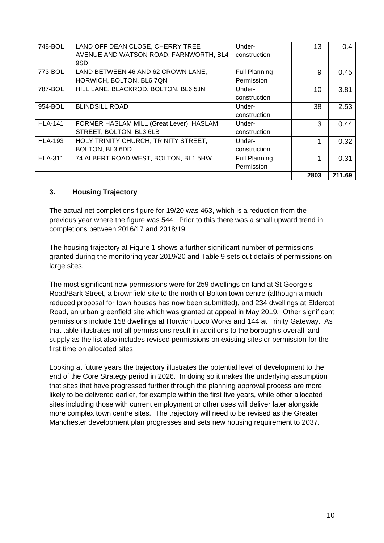| 748-BOL        | LAND OFF DEAN CLOSE, CHERRY TREE         | Under-               | 13   | 0.4    |
|----------------|------------------------------------------|----------------------|------|--------|
|                | AVENUE AND WATSON ROAD, FARNWORTH, BL4   | construction         |      |        |
|                | 9SD.                                     |                      |      |        |
| 773-BOL        | LAND BETWEEN 46 AND 62 CROWN LANE,       | <b>Full Planning</b> | 9    | 0.45   |
|                | HORWICH, BOLTON, BL6 7QN                 | Permission           |      |        |
| 787-BOL        | HILL LANE, BLACKROD, BOLTON, BL6 5JN     | Under-               | 10   | 3.81   |
|                |                                          | construction         |      |        |
| 954-BOL        | <b>BLINDSILL ROAD</b>                    | Under-               | 38   | 2.53   |
|                |                                          | construction         |      |        |
| <b>HLA-141</b> | FORMER HASLAM MILL (Great Lever), HASLAM | Under-               | 3    | 0.44   |
|                | STREET, BOLTON, BL3 6LB                  | construction         |      |        |
| <b>HLA-193</b> | HOLY TRINITY CHURCH, TRINITY STREET,     | Under-               |      | 0.32   |
|                | BOLTON, BL3 6DD                          | construction         |      |        |
| <b>HLA-311</b> | 74 ALBERT ROAD WEST, BOLTON, BL1 5HW     | <b>Full Planning</b> |      | 0.31   |
|                |                                          | Permission           |      |        |
|                |                                          |                      | 2803 | 211.69 |

#### <span id="page-9-0"></span>**3. Housing Trajectory**

The actual net completions figure for 19/20 was 463, which is a reduction from the previous year where the figure was 544. Prior to this there was a small upward trend in completions between 2016/17 and 2018/19.

The housing trajectory at Figure 1 shows a further significant number of permissions granted during the monitoring year 2019/20 and Table 9 sets out details of permissions on large sites.

The most significant new permissions were for 259 dwellings on land at St George's Road/Bark Street, a brownfield site to the north of Bolton town centre (although a much reduced proposal for town houses has now been submitted), and 234 dwellings at Eldercot Road, an urban greenfield site which was granted at appeal in May 2019. Other significant permissions include 158 dwellings at Horwich Loco Works and 144 at Trinity Gateway. As that table illustrates not all permissions result in additions to the borough's overall land supply as the list also includes revised permissions on existing sites or permission for the first time on allocated sites.

Looking at future years the trajectory illustrates the potential level of development to the end of the Core Strategy period in 2026. In doing so it makes the underlying assumption that sites that have progressed further through the planning approval process are more likely to be delivered earlier, for example within the first five years, while other allocated sites including those with current employment or other uses will deliver later alongside more complex town centre sites. The trajectory will need to be revised as the Greater Manchester development plan progresses and sets new housing requirement to 2037.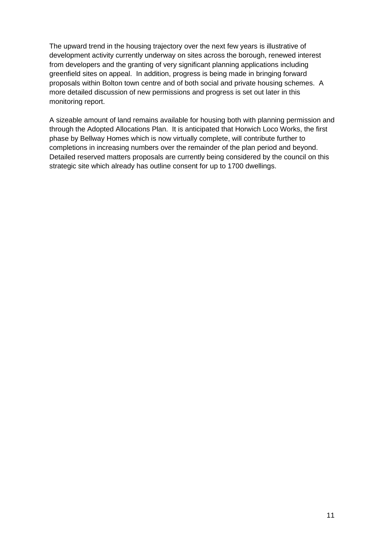The upward trend in the housing trajectory over the next few years is illustrative of development activity currently underway on sites across the borough, renewed interest from developers and the granting of very significant planning applications including greenfield sites on appeal. In addition, progress is being made in bringing forward proposals within Bolton town centre and of both social and private housing schemes. A more detailed discussion of new permissions and progress is set out later in this monitoring report.

A sizeable amount of land remains available for housing both with planning permission and through the Adopted Allocations Plan. It is anticipated that Horwich Loco Works, the first phase by Bellway Homes which is now virtually complete, will contribute further to completions in increasing numbers over the remainder of the plan period and beyond. Detailed reserved matters proposals are currently being considered by the council on this strategic site which already has outline consent for up to 1700 dwellings.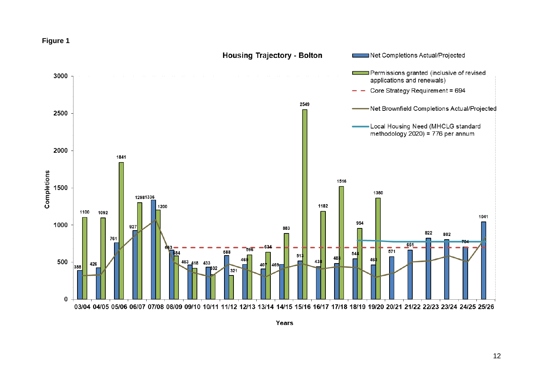



Years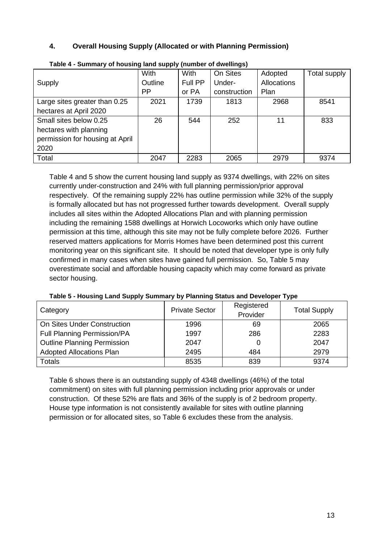#### <span id="page-12-0"></span>**4. Overall Housing Supply (Allocated or with Planning Permission)**

|                                 | With    | <b>With</b> | On Sites     | Adopted     | Total supply |
|---------------------------------|---------|-------------|--------------|-------------|--------------|
| Supply                          | Outline | Full PP     | Under-       | Allocations |              |
|                                 | PP      | or PA       | construction | Plan        |              |
| Large sites greater than 0.25   | 2021    | 1739        | 1813         | 2968        | 8541         |
| hectares at April 2020          |         |             |              |             |              |
| Small sites below 0.25          | 26      | 544         | 252          | 11          | 833          |
| hectares with planning          |         |             |              |             |              |
| permission for housing at April |         |             |              |             |              |
| 2020                            |         |             |              |             |              |
| Total                           | 2047    | 2283        | 2065         | 2979        | 9374         |

| Table 4 - Summary of housing land supply (number of dwellings) |  |
|----------------------------------------------------------------|--|
|                                                                |  |

Table 4 and 5 show the current housing land supply as 9374 dwellings, with 22% on sites currently under-construction and 24% with full planning permission/prior approval respectively. Of the remaining supply 22% has outline permission while 32% of the supply is formally allocated but has not progressed further towards development. Overall supply includes all sites within the Adopted Allocations Plan and with planning permission including the remaining 1588 dwellings at Horwich Locoworks which only have outline permission at this time, although this site may not be fully complete before 2026. Further reserved matters applications for Morris Homes have been determined post this current monitoring year on this significant site. It should be noted that developer type is only fully confirmed in many cases when sites have gained full permission. So, Table 5 may overestimate social and affordable housing capacity which may come forward as private sector housing.

| Category                           | <b>Private Sector</b> | Registered<br>Provider | <b>Total Supply</b> |
|------------------------------------|-----------------------|------------------------|---------------------|
| On Sites Under Construction        | 1996                  | 69                     | 2065                |
| <b>Full Planning Permission/PA</b> | 1997                  | 286                    | 2283                |
| <b>Outline Planning Permission</b> | 2047                  |                        | 2047                |
| <b>Adopted Allocations Plan</b>    | 2495                  | 484                    | 2979                |
| Totals                             | 8535                  | 839                    | 9374                |

**Table 5 - Housing Land Supply Summary by Planning Status and Developer Type**

Table 6 shows there is an outstanding supply of 4348 dwellings (46%) of the total commitment) on sites with full planning permission including prior approvals or under construction. Of these 52% are flats and 36% of the supply is of 2 bedroom property. House type information is not consistently available for sites with outline planning permission or for allocated sites, so Table 6 excludes these from the analysis.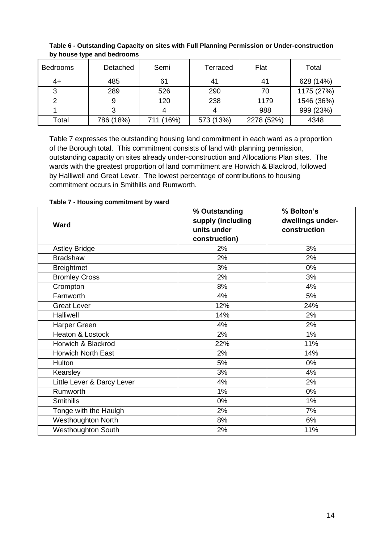| <b>Bedrooms</b> | Detached  | Semi      | Terraced  | Flat       | Total      |
|-----------------|-----------|-----------|-----------|------------|------------|
| 4+              | 485       | 61        | 41        | 41         | 628 (14%)  |
|                 | 289       | 526       | 290       | 70         | 1175 (27%) |
|                 |           | 120       | 238       | 1179       | 1546 (36%) |
|                 |           |           |           | 988        | 999 (23%)  |
| Total           | 786 (18%) | 711 (16%) | 573 (13%) | 2278 (52%) | 4348       |

**Table 6 - Outstanding Capacity on sites with Full Planning Permission or Under-construction by house type and bedrooms**

Table 7 expresses the outstanding housing land commitment in each ward as a proportion of the Borough total. This commitment consists of land with planning permission, outstanding capacity on sites already under-construction and Allocations Plan sites. The wards with the greatest proportion of land commitment are Horwich & Blackrod, followed by Halliwell and Great Lever. The lowest percentage of contributions to housing commitment occurs in Smithills and Rumworth.

| <b>Ward</b>                | % Outstanding<br>supply (including<br>units under | % Bolton's<br>dwellings under-<br>construction |  |
|----------------------------|---------------------------------------------------|------------------------------------------------|--|
|                            | construction)                                     |                                                |  |
| <b>Astley Bridge</b>       | 2%                                                | 3%                                             |  |
| <b>Bradshaw</b>            | 2%                                                | 2%                                             |  |
| <b>Breightmet</b>          | 3%                                                | 0%                                             |  |
| <b>Bromley Cross</b>       | 2%                                                | 3%                                             |  |
| Crompton                   | 8%                                                | 4%                                             |  |
| Farnworth                  | 4%                                                | 5%                                             |  |
| <b>Great Lever</b>         | 12%                                               | 24%                                            |  |
| Halliwell                  | 14%                                               | 2%                                             |  |
| Harper Green               | 4%                                                | 2%                                             |  |
| Heaton & Lostock           | 2%                                                | 1%                                             |  |
| Horwich & Blackrod         | 22%                                               | 11%                                            |  |
| Horwich North East         | 2%                                                | 14%                                            |  |
| Hulton                     | 5%                                                | 0%                                             |  |
| Kearsley                   | 3%                                                | 4%                                             |  |
| Little Lever & Darcy Lever | 4%                                                | 2%                                             |  |
| Rumworth                   | 1%                                                | 0%                                             |  |
| <b>Smithills</b>           | 0%                                                | 1%                                             |  |
| Tonge with the Haulgh      | 2%                                                | 7%                                             |  |
| <b>Westhoughton North</b>  | 8%                                                | 6%                                             |  |
| Westhoughton South         | 2%                                                | 11%                                            |  |

**Table 7 - Housing commitment by ward**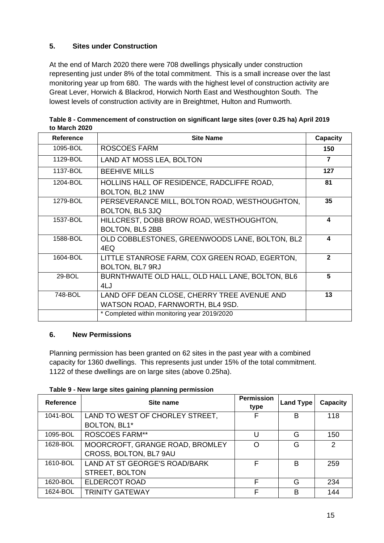#### <span id="page-14-0"></span>**5. Sites under Construction**

At the end of March 2020 there were 708 dwellings physically under construction representing just under 8% of the total commitment. This is a small increase over the last monitoring year up from 680. The wards with the highest level of construction activity are Great Lever, Horwich & Blackrod, Horwich North East and Westhoughton South. The lowest levels of construction activity are in Breightmet, Hulton and Rumworth.

| Reference | <b>Site Name</b>                                                                | Capacity     |
|-----------|---------------------------------------------------------------------------------|--------------|
| 1095-BOL  | <b>ROSCOES FARM</b>                                                             | 150          |
| 1129-BOL  | LAND AT MOSS LEA, BOLTON                                                        | 7            |
| 1137-BOL  | <b>BEEHIVE MILLS</b>                                                            | 127          |
| 1204-BOL  | HOLLINS HALL OF RESIDENCE, RADCLIFFE ROAD,<br>BOLTON, BL2 1NW                   | 81           |
| 1279-BOL  | PERSEVERANCE MILL, BOLTON ROAD, WESTHOUGHTON,<br>BOLTON, BL5 3JQ                | 35           |
| 1537-BOL  | HILLCREST, DOBB BROW ROAD, WESTHOUGHTON,<br>BOLTON, BL5 2BB                     | 4            |
| 1588-BOL  | OLD COBBLESTONES, GREENWOODS LANE, BOLTON, BL2<br>4EQ                           | 4            |
| 1604-BOL  | LITTLE STANROSE FARM, COX GREEN ROAD, EGERTON,<br>BOLTON, BL7 9RJ               | $\mathbf{2}$ |
| 29-BOL    | BURNTHWAITE OLD HALL, OLD HALL LANE, BOLTON, BL6<br>4LJ                         | 5            |
| 748-BOL   | LAND OFF DEAN CLOSE, CHERRY TREE AVENUE AND<br>WATSON ROAD, FARNWORTH, BL4 9SD. | 13           |
|           | * Completed within monitoring year 2019/2020                                    |              |

**Table 8 - Commencement of construction on significant large sites (over 0.25 ha) April 2019 to March 2020**

#### <span id="page-14-1"></span>**6. New Permissions**

Planning permission has been granted on 62 sites in the past year with a combined capacity for 1360 dwellings. This represents just under 15% of the total commitment. 1122 of these dwellings are on large sites (above 0.25ha).

| Table 9 - New large sites gaining planning permission |  |  |  |  |  |  |
|-------------------------------------------------------|--|--|--|--|--|--|
|-------------------------------------------------------|--|--|--|--|--|--|

| Reference | Site name                       | <b>Permission</b><br>type | <b>Land Type</b> | Capacity |
|-----------|---------------------------------|---------------------------|------------------|----------|
| 1041-BOL  | LAND TO WEST OF CHORLEY STREET, | F                         | B                | 118      |
|           | BOLTON, BL1*                    |                           |                  |          |
| 1095-BOL  | <b>ROSCOES FARM**</b>           | U                         | G                | 150      |
| 1628-BOL  | MOORCROFT, GRANGE ROAD, BROMLEY | O                         | G                | 2        |
|           | CROSS, BOLTON, BL7 9AU          |                           |                  |          |
| 1610-BOL  | LAND AT ST GEORGE'S ROAD/BARK   | F                         | B                | 259      |
|           | STREET, BOLTON                  |                           |                  |          |
| 1620-BOL  | ELDERCOT ROAD                   | F                         | G                | 234      |
| 1624-BOL  | <b>TRINITY GATEWAY</b>          | F                         | в                | 144      |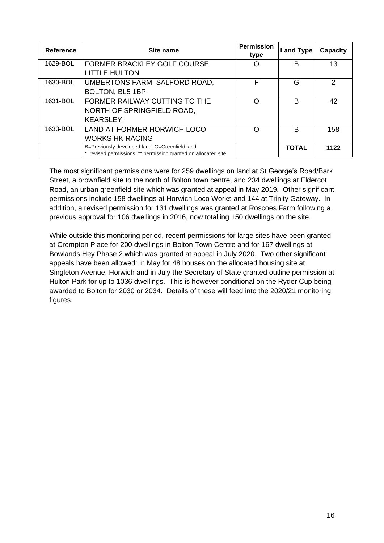| Reference | Site name                                                                                                      | <b>Permission</b><br>type | <b>Land Type</b> | <b>Capacity</b> |
|-----------|----------------------------------------------------------------------------------------------------------------|---------------------------|------------------|-----------------|
| 1629-BOL  | FORMER BRACKLEY GOLF COURSE                                                                                    |                           | B                | 13              |
|           | <b>LITTLE HULTON</b>                                                                                           |                           |                  |                 |
| 1630-BOL  | UMBERTONS FARM, SALFORD ROAD,                                                                                  | F                         | G                | $\mathcal{P}$   |
|           | BOLTON, BL5 1BP                                                                                                |                           |                  |                 |
| 1631-BOL  | FORMER RAILWAY CUTTING TO THE                                                                                  | ∩                         | B                | 42              |
|           | NORTH OF SPRINGFIELD ROAD,                                                                                     |                           |                  |                 |
|           | <b>KEARSLEY.</b>                                                                                               |                           |                  |                 |
| 1633-BOL  | LAND AT FORMER HORWICH LOCO                                                                                    | ∩                         | B                | 158             |
|           | <b>WORKS HK RACING</b>                                                                                         |                           |                  |                 |
|           | B=Previously developed land, G=Greenfield land<br>revised permissions, ** permission granted on allocated site |                           | <b>TOTAL</b>     | 1122            |

The most significant permissions were for 259 dwellings on land at St George's Road/Bark Street, a brownfield site to the north of Bolton town centre, and 234 dwellings at Eldercot Road, an urban greenfield site which was granted at appeal in May 2019. Other significant permissions include 158 dwellings at Horwich Loco Works and 144 at Trinity Gateway. In addition, a revised permission for 131 dwellings was granted at Roscoes Farm following a previous approval for 106 dwellings in 2016, now totalling 150 dwellings on the site.

While outside this monitoring period, recent permissions for large sites have been granted at Crompton Place for 200 dwellings in Bolton Town Centre and for 167 dwellings at Bowlands Hey Phase 2 which was granted at appeal in July 2020. Two other significant appeals have been allowed: in May for 48 houses on the allocated housing site at Singleton Avenue, Horwich and in July the Secretary of State granted outline permission at Hulton Park for up to 1036 dwellings. This is however conditional on the Ryder Cup being awarded to Bolton for 2030 or 2034. Details of these will feed into the 2020/21 monitoring figures.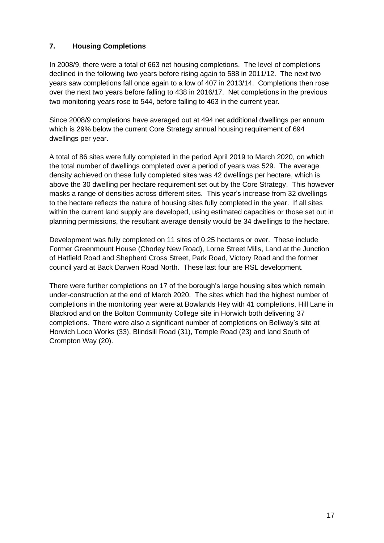#### <span id="page-16-0"></span>**7. Housing Completions**

In 2008/9, there were a total of 663 net housing completions. The level of completions declined in the following two years before rising again to 588 in 2011/12. The next two years saw completions fall once again to a low of 407 in 2013/14. Completions then rose over the next two years before falling to 438 in 2016/17. Net completions in the previous two monitoring years rose to 544, before falling to 463 in the current year.

Since 2008/9 completions have averaged out at 494 net additional dwellings per annum which is 29% below the current Core Strategy annual housing requirement of 694 dwellings per year.

A total of 86 sites were fully completed in the period April 2019 to March 2020, on which the total number of dwellings completed over a period of years was 529. The average density achieved on these fully completed sites was 42 dwellings per hectare, which is above the 30 dwelling per hectare requirement set out by the Core Strategy. This however masks a range of densities across different sites. This year's increase from 32 dwellings to the hectare reflects the nature of housing sites fully completed in the year. If all sites within the current land supply are developed, using estimated capacities or those set out in planning permissions, the resultant average density would be 34 dwellings to the hectare.

Development was fully completed on 11 sites of 0.25 hectares or over. These include Former Greenmount House (Chorley New Road), Lorne Street Mills, Land at the Junction of Hatfield Road and Shepherd Cross Street, Park Road, Victory Road and the former council yard at Back Darwen Road North. These last four are RSL development.

There were further completions on 17 of the borough's large housing sites which remain under-construction at the end of March 2020. The sites which had the highest number of completions in the monitoring year were at Bowlands Hey with 41 completions, Hill Lane in Blackrod and on the Bolton Community College site in Horwich both delivering 37 completions. There were also a significant number of completions on Bellway's site at Horwich Loco Works (33), Blindsill Road (31), Temple Road (23) and land South of Crompton Way (20).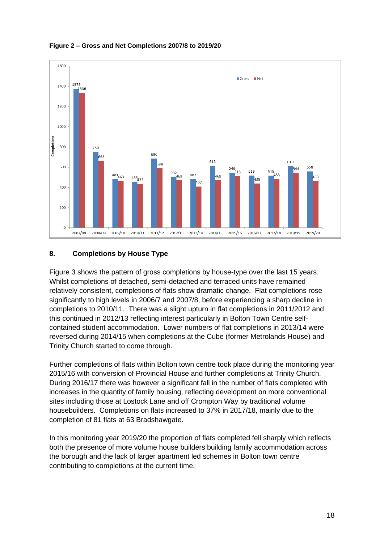

#### **Figure 2 – Gross and Net Completions 2007/8 to 2019/20**

#### <span id="page-17-0"></span>**8. Completions by House Type**

Figure 3 shows the pattern of gross completions by house-type over the last 15 years. Whilst completions of detached, semi-detached and terraced units have remained relatively consistent, completions of flats show dramatic change. Flat completions rose significantly to high levels in 2006/7 and 2007/8, before experiencing a sharp decline in completions to 2010/11. There was a slight upturn in flat completions in 2011/2012 and this continued in 2012/13 reflecting interest particularly in Bolton Town Centre selfcontained student accommodation. Lower numbers of flat completions in 2013/14 were reversed during 2014/15 when completions at the Cube (former Metrolands House) and Trinity Church started to come through.

Further completions of flats within Bolton town centre took place during the monitoring year 2015/16 with conversion of Provincial House and further completions at Trinity Church. During 2016/17 there was however a significant fall in the number of flats completed with increases in the quantity of family housing, reflecting development on more conventional sites including those at Lostock Lane and off Crompton Way by traditional volume housebuilders. Completions on flats increased to 37% in 2017/18, mainly due to the completion of 81 flats at 63 Bradshawgate.

In this monitoring year 2019/20 the proportion of flats completed fell sharply which reflects both the presence of more volume house builders building family accommodation across the borough and the lack of larger apartment led schemes in Bolton town centre contributing to completions at the current time.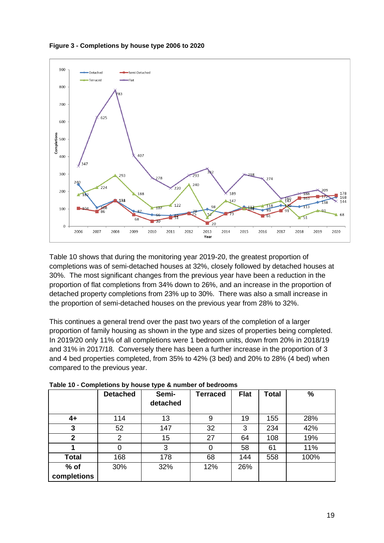

**Figure 3 - Completions by house type 2006 to 2020**

Table 10 shows that during the monitoring year 2019-20, the greatest proportion of completions was of semi-detached houses at 32%, closely followed by detached houses at 30%. The most significant changes from the previous year have been a reduction in the proportion of flat completions from 34% down to 26%, and an increase in the proportion of detached property completions from 23% up to 30%. There was also a small increase in the proportion of semi-detached houses on the previous year from 28% to 32%.

This continues a general trend over the past two years of the completion of a larger proportion of family housing as shown in the type and sizes of properties being completed. In 2019/20 only 11% of all completions were 1 bedroom units, down from 20% in 2018/19 and 31% in 2017/18. Conversely there has been a further increase in the proportion of 3 and 4 bed properties completed, from 35% to 42% (3 bed) and 20% to 28% (4 bed) when compared to the previous year.

|                | <b>Detached</b> | Semi-<br>detached | <b>Terraced</b> | <b>Flat</b> | <b>Total</b> | $\%$ |
|----------------|-----------------|-------------------|-----------------|-------------|--------------|------|
| $4+$           | 114             | 13                | 9               | 19          | 155          | 28%  |
| 3              | 52              | 147               | 32              | 3           | 234          | 42%  |
| $\overline{2}$ | 2               | 15                | 27              | 64          | 108          | 19%  |
| 1              | 0               | 3                 | 0               | 58          | 61           | 11%  |
| <b>Total</b>   | 168             | 178               | 68              | 144         | 558          | 100% |
| $%$ of         | 30%             | 32%               | 12%             | 26%         |              |      |
| completions    |                 |                   |                 |             |              |      |

**Table 10 - Completions by house type & number of bedrooms**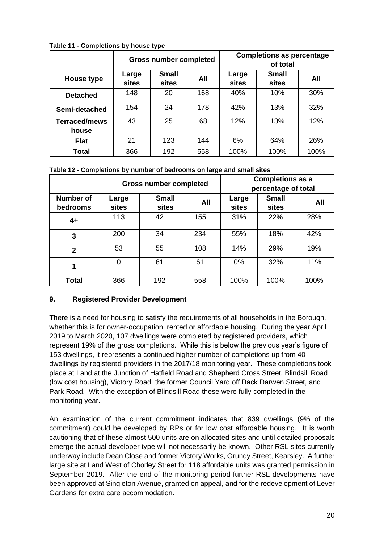|                               |                | <b>Gross number completed</b> |     | <b>Completions as percentage</b><br>of total |                       |      |
|-------------------------------|----------------|-------------------------------|-----|----------------------------------------------|-----------------------|------|
| House type                    | Large<br>sites | <b>Small</b><br>sites         | All | Large<br>sites                               | <b>Small</b><br>sites | All  |
| <b>Detached</b>               | 148            | 20                            | 168 | 40%                                          | 10%                   | 30%  |
| Semi-detached                 | 154            | 24                            | 178 | 42%                                          | 13%                   | 32%  |
| <b>Terraced/mews</b><br>house | 43             | 25                            | 68  | 12%                                          | 13%                   | 12%  |
| <b>Flat</b>                   | 21             | 123                           | 144 | 6%                                           | 64%                   | 26%  |
| Total                         | 366            | 192                           | 558 | 100%                                         | 100%                  | 100% |

**Table 11 - Completions by house type**

**Table 12 - Completions by number of bedrooms on large and small sites**

|                              |                       | <b>Gross number completed</b> |     |                | <b>Completions as a</b><br>percentage of total |      |
|------------------------------|-----------------------|-------------------------------|-----|----------------|------------------------------------------------|------|
| <b>Number of</b><br>bedrooms | Large<br><b>sites</b> | <b>Small</b><br>sites         | All | Large<br>sites | <b>Small</b><br>sites                          | All  |
| $4+$                         | 113                   | 42                            | 155 | 31%            | 22%                                            | 28%  |
| 3                            | 200                   | 34                            | 234 | 55%            | 18%                                            | 42%  |
| $\mathbf{2}$                 | 53                    | 55                            | 108 | 14%            | 29%                                            | 19%  |
| 1                            | $\overline{0}$        | 61                            | 61  | 0%             | 32%                                            | 11%  |
| <b>Total</b>                 | 366                   | 192                           | 558 | 100%           | 100%                                           | 100% |

#### <span id="page-19-0"></span>**9. Registered Provider Development**

There is a need for housing to satisfy the requirements of all households in the Borough, whether this is for owner-occupation, rented or affordable housing. During the year April 2019 to March 2020, 107 dwellings were completed by registered providers, which represent 19% of the gross completions. While this is below the previous year's figure of 153 dwellings, it represents a continued higher number of completions up from 40 dwellings by registered providers in the 2017/18 monitoring year. These completions took place at Land at the Junction of Hatfield Road and Shepherd Cross Street, Blindsill Road (low cost housing), Victory Road, the former Council Yard off Back Darwen Street, and Park Road. With the exception of Blindsill Road these were fully completed in the monitoring year.

An examination of the current commitment indicates that 839 dwellings (9% of the commitment) could be developed by RPs or for low cost affordable housing. It is worth cautioning that of these almost 500 units are on allocated sites and until detailed proposals emerge the actual developer type will not necessarily be known. Other RSL sites currently underway include Dean Close and former Victory Works, Grundy Street, Kearsley. A further large site at Land West of Chorley Street for 118 affordable units was granted permission in September 2019. After the end of the monitoring period further RSL developments have been approved at Singleton Avenue, granted on appeal, and for the redevelopment of Lever Gardens for extra care accommodation.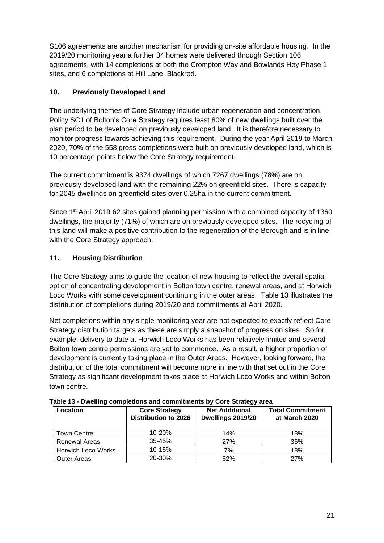S106 agreements are another mechanism for providing on-site affordable housing. In the 2019/20 monitoring year a further 34 homes were delivered through Section 106 agreements, with 14 completions at both the Crompton Way and Bowlands Hey Phase 1 sites, and 6 completions at Hill Lane, Blackrod.

#### <span id="page-20-0"></span>**10. Previously Developed Land**

The underlying themes of Core Strategy include urban regeneration and concentration. Policy SC1 of Bolton's Core Strategy requires least 80% of new dwellings built over the plan period to be developed on previously developed land. It is therefore necessary to monitor progress towards achieving this requirement. During the year April 2019 to March 2020, 70**%** of the 558 gross completions were built on previously developed land, which is 10 percentage points below the Core Strategy requirement.

The current commitment is 9374 dwellings of which 7267 dwellings (78%) are on previously developed land with the remaining 22% on greenfield sites. There is capacity for 2045 dwellings on greenfield sites over 0.25ha in the current commitment.

Since 1<sup>st</sup> April 2019 62 sites gained planning permission with a combined capacity of 1360 dwellings, the majority (71%) of which are on previously developed sites. The recycling of this land will make a positive contribution to the regeneration of the Borough and is in line with the Core Strategy approach.

#### <span id="page-20-1"></span>**11. Housing Distribution**

The Core Strategy aims to guide the location of new housing to reflect the overall spatial option of concentrating development in Bolton town centre, renewal areas, and at Horwich Loco Works with some development continuing in the outer areas. Table 13 illustrates the distribution of completions during 2019/20 and commitments at April 2020.

Net completions within any single monitoring year are not expected to exactly reflect Core Strategy distribution targets as these are simply a snapshot of progress on sites. So for example, delivery to date at Horwich Loco Works has been relatively limited and several Bolton town centre permissions are yet to commence. As a result, a higher proportion of development is currently taking place in the Outer Areas. However, looking forward, the distribution of the total commitment will become more in line with that set out in the Core Strategy as significant development takes place at Horwich Loco Works and within Bolton town centre.

| Location             | <b>Core Strategy</b><br><b>Distribution to 2026</b> | <b>Net Additional</b><br>Dwellings 2019/20 | <b>Total Commitment</b><br>at March 2020 |
|----------------------|-----------------------------------------------------|--------------------------------------------|------------------------------------------|
| Town Centre          | $10 - 20%$                                          | 14%                                        | 18%                                      |
| <b>Renewal Areas</b> | $35 - 45%$                                          | 27%                                        | 36%                                      |
| Horwich Loco Works   | 10-15%                                              | 7%                                         | 18%                                      |
| Outer Areas          | 20-30%                                              | 52%                                        | 27%                                      |

**Table 13 - Dwelling completions and commitments by Core Strategy area**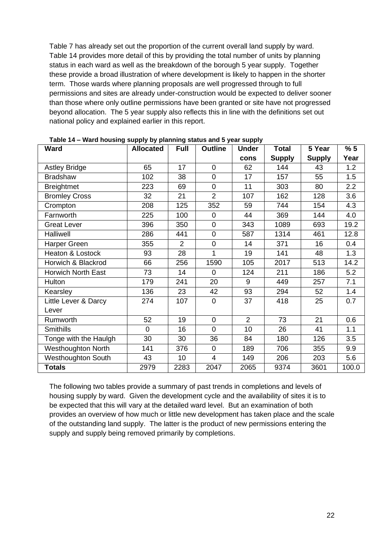Table 7 has already set out the proportion of the current overall land supply by ward. Table 14 provides more detail of this by providing the total number of units by planning status in each ward as well as the breakdown of the borough 5 year supply. Together these provide a broad illustration of where development is likely to happen in the shorter term. Those wards where planning proposals are well progressed through to full permissions and sites are already under-construction would be expected to deliver sooner than those where only outline permissions have been granted or site have not progressed beyond allocation. The 5 year supply also reflects this in line with the definitions set out national policy and explained earlier in this report.

| rabic 14 – ward nousing supply by planning status and 5 year supply<br>Ward | <b>Allocated</b> | <b>Full</b>    | <b>Outline</b> | <b>Under</b> | <b>Total</b>  | 5 Year        | %5    |
|-----------------------------------------------------------------------------|------------------|----------------|----------------|--------------|---------------|---------------|-------|
|                                                                             |                  |                |                | cons         | <b>Supply</b> | <b>Supply</b> | Year  |
| <b>Astley Bridge</b>                                                        | 65               | 17             | $\Omega$       | 62           | 144           | 43            | 1.2   |
| <b>Bradshaw</b>                                                             | 102              | 38             | $\overline{0}$ | 17           | 157           | 55            | 1.5   |
| <b>Breightmet</b>                                                           | 223              | 69             | $\overline{0}$ | 11           | 303           | 80            | 2.2   |
| <b>Bromley Cross</b>                                                        | 32               | 21             | $\overline{2}$ | 107          | 162           | 128           | 3.6   |
| Crompton                                                                    | 208              | 125            | 352            | 59           | 744           | 154           | 4.3   |
| Farnworth                                                                   | 225              | 100            | 0              | 44           | 369           | 144           | 4.0   |
| <b>Great Lever</b>                                                          | 396              | 350            | $\mathbf 0$    | 343          | 1089          | 693           | 19.2  |
| Halliwell                                                                   | 286              | 441            | $\overline{0}$ | 587          | 1314          | 461           | 12.8  |
| Harper Green                                                                | 355              | $\overline{2}$ | $\overline{0}$ | 14           | 371           | 16            | 0.4   |
| Heaton & Lostock                                                            | 93               | 28             | 1              | 19           | 141           | 48            | 1.3   |
| Horwich & Blackrod                                                          | 66               | 256            | 1590           | 105          | 2017          | 513           | 14.2  |
| <b>Horwich North East</b>                                                   | 73               | 14             | 0              | 124          | 211           | 186           | 5.2   |
| Hulton                                                                      | 179              | 241            | 20             | 9            | 449           | 257           | 7.1   |
| Kearsley                                                                    | 136              | 23             | 42             | 93           | 294           | 52            | 1.4   |
| Little Lever & Darcy                                                        | 274              | 107            | $\overline{0}$ | 37           | 418           | 25            | 0.7   |
| Lever                                                                       |                  |                |                |              |               |               |       |
| Rumworth                                                                    | 52               | 19             | $\overline{0}$ | 2            | 73            | 21            | 0.6   |
| <b>Smithills</b>                                                            | $\overline{0}$   | 16             | $\overline{0}$ | 10           | 26            | 41            | 1.1   |
| Tonge with the Haulgh                                                       | 30               | 30             | 36             | 84           | 180           | 126           | 3.5   |
| <b>Westhoughton North</b>                                                   | 141              | 376            | $\overline{0}$ | 189          | 706           | 355           | 9.9   |
| Westhoughton South                                                          | 43               | 10             | $\overline{4}$ | 149          | 206           | 203           | 5.6   |
| <b>Totals</b>                                                               | 2979             | 2283           | 2047           | 2065         | 9374          | 3601          | 100.0 |

**Table 14 – Ward housing supply by planning status and 5 year supply**

The following two tables provide a summary of past trends in completions and levels of housing supply by ward. Given the development cycle and the availability of sites it is to be expected that this will vary at the detailed ward level. But an examination of both provides an overview of how much or little new development has taken place and the scale of the outstanding land supply. The latter is the product of new permissions entering the supply and supply being removed primarily by completions.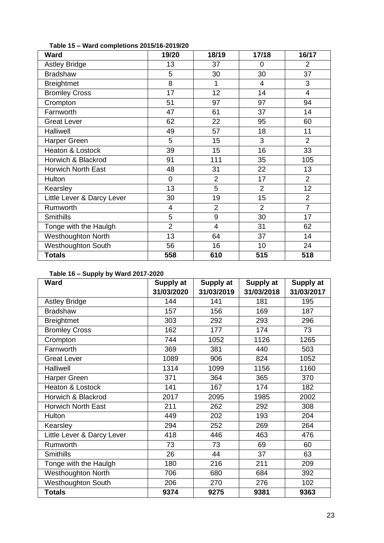| <b>Ward</b>                | 19/20          | 18/19          | 17/18          | 16/17          |
|----------------------------|----------------|----------------|----------------|----------------|
| <b>Astley Bridge</b>       | 13             | 37             | 0              | $\overline{2}$ |
| <b>Bradshaw</b>            | 5              | 30             | 30             | 37             |
| <b>Breightmet</b>          | 8              | 1              | 4              | 3              |
| <b>Bromley Cross</b>       | 17             | 12             | 14             | $\overline{4}$ |
| Crompton                   | 51             | 97             | 97             | 94             |
| Farnworth                  | 47             | 61             | 37             | 14             |
| <b>Great Lever</b>         | 62             | 22             | 95             | 60             |
| Halliwell                  | 49             | 57             | 18             | 11             |
| Harper Green               | 5              | 15             | 3              | $\overline{2}$ |
| Heaton & Lostock           | 39             | 15             | 16             | 33             |
| Horwich & Blackrod         | 91             | 111            | 35             | 105            |
| <b>Horwich North East</b>  | 48             | 31             | 22             | 13             |
| Hulton                     | $\overline{0}$ | $\overline{2}$ | 17             | $\overline{2}$ |
| Kearsley                   | 13             | 5              | $\overline{2}$ | 12             |
| Little Lever & Darcy Lever | 30             | 19             | 15             | $\overline{2}$ |
| Rumworth                   | 4              | $\overline{2}$ | $\overline{2}$ | $\overline{7}$ |
| <b>Smithills</b>           | 5              | 9              | 30             | 17             |
| Tonge with the Haulgh      | $\overline{2}$ | 4              | 31             | 62             |
| Westhoughton North         | 13             | 64             | 37             | 14             |
| Westhoughton South         | 56             | 16             | 10             | 24             |
| <b>Totals</b>              | 558            | 610            | 515            | 518            |

**Table 15 – Ward completions 2015/16-2019/20**

#### **Table 16 – Supply by Ward 2017-2020**

| <b>Ward</b>                | Supply at  | Supply at  | Supply at  | <b>Supply at</b> |
|----------------------------|------------|------------|------------|------------------|
|                            | 31/03/2020 | 31/03/2019 | 31/03/2018 | 31/03/2017       |
| <b>Astley Bridge</b>       | 144        | 141        | 181        | 195              |
| <b>Bradshaw</b>            | 157        | 156        | 169        | 187              |
| <b>Breightmet</b>          | 303        | 292        | 293        | 296              |
| <b>Bromley Cross</b>       | 162        | 177        | 174        | 73               |
| Crompton                   | 744        | 1052       | 1126       | 1265             |
| Farnworth                  | 369        | 381        | 440        | 503              |
| <b>Great Lever</b>         | 1089       | 906        | 824        | 1052             |
| Halliwell                  | 1314       | 1099       | 1156       | 1160             |
| Harper Green               | 371        | 364        | 365        | 370              |
| Heaton & Lostock           | 141        | 167        | 174        | 182              |
| Horwich & Blackrod         | 2017       | 2095       | 1985       | 2002             |
| <b>Horwich North East</b>  | 211        | 262        | 292        | 308              |
| Hulton                     | 449        | 202        | 193        | 204              |
| Kearsley                   | 294        | 252        | 269        | 264              |
| Little Lever & Darcy Lever | 418        | 446        | 463        | 476              |
| Rumworth                   | 73         | 73         | 69         | 60               |
| <b>Smithills</b>           | 26         | 44         | 37         | 63               |
| Tonge with the Haulgh      | 180        | 216        | 211        | 209              |
| <b>Westhoughton North</b>  | 706        | 680        | 684        | 392              |
| <b>Westhoughton South</b>  | 206        | 270        | 276        | 102              |
| <b>Totals</b>              | 9374       | 9275       | 9381       | 9363             |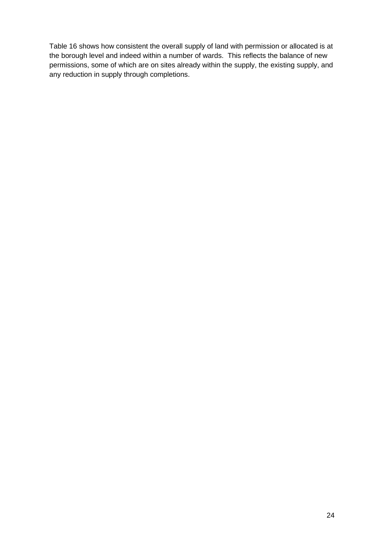Table 16 shows how consistent the overall supply of land with permission or allocated is at the borough level and indeed within a number of wards. This reflects the balance of new permissions, some of which are on sites already within the supply, the existing supply, and any reduction in supply through completions.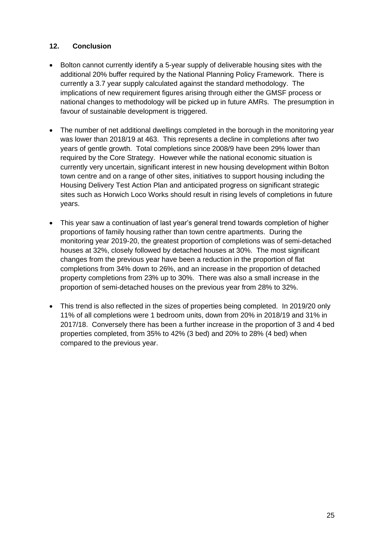#### <span id="page-24-0"></span>**12. Conclusion**

- Bolton cannot currently identify a 5-year supply of deliverable housing sites with the additional 20% buffer required by the National Planning Policy Framework. There is currently a 3.7 year supply calculated against the standard methodology. The implications of new requirement figures arising through either the GMSF process or national changes to methodology will be picked up in future AMRs. The presumption in favour of sustainable development is triggered.
- The number of net additional dwellings completed in the borough in the monitoring year was lower than 2018/19 at 463. This represents a decline in completions after two years of gentle growth. Total completions since 2008/9 have been 29% lower than required by the Core Strategy. However while the national economic situation is currently very uncertain, significant interest in new housing development within Bolton town centre and on a range of other sites, initiatives to support housing including the Housing Delivery Test Action Plan and anticipated progress on significant strategic sites such as Horwich Loco Works should result in rising levels of completions in future years.
- This year saw a continuation of last year's general trend towards completion of higher proportions of family housing rather than town centre apartments. During the monitoring year 2019-20, the greatest proportion of completions was of semi-detached houses at 32%, closely followed by detached houses at 30%. The most significant changes from the previous year have been a reduction in the proportion of flat completions from 34% down to 26%, and an increase in the proportion of detached property completions from 23% up to 30%. There was also a small increase in the proportion of semi-detached houses on the previous year from 28% to 32%.
- This trend is also reflected in the sizes of properties being completed. In 2019/20 only 11% of all completions were 1 bedroom units, down from 20% in 2018/19 and 31% in 2017/18. Conversely there has been a further increase in the proportion of 3 and 4 bed properties completed, from 35% to 42% (3 bed) and 20% to 28% (4 bed) when compared to the previous year.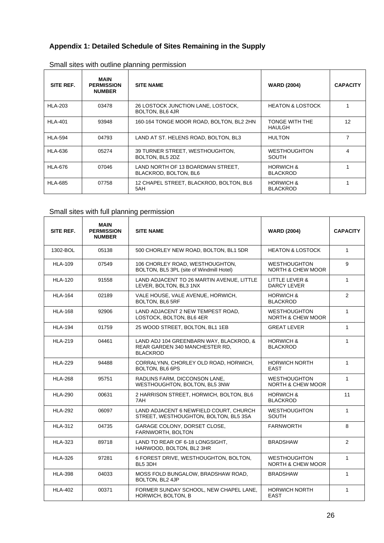#### <span id="page-25-0"></span>**Appendix 1: Detailed Schedule of Sites Remaining in the Supply**

| SITE REF.      | <b>MAIN</b><br><b>PERMISSION</b><br><b>NUMBER</b> | <b>SITE NAME</b>                                           | <b>WARD (2004)</b>                      | <b>CAPACITY</b> |
|----------------|---------------------------------------------------|------------------------------------------------------------|-----------------------------------------|-----------------|
| <b>HLA-203</b> | 03478                                             | 26 LOSTOCK JUNCTION LANE, LOSTOCK,<br>BOLTON, BL6 4JR      | <b>HEATON &amp; LOSTOCK</b>             |                 |
| <b>HLA-401</b> | 93948                                             | 160-164 TONGE MOOR ROAD, BOLTON, BL2 2HN                   | TONGE WITH THE<br>HAULGH                | 12              |
| <b>HLA-594</b> | 04793                                             | LAND AT ST. HELENS ROAD, BOLTON, BL3                       | <b>HULTON</b>                           | 7               |
| <b>HLA-636</b> | 05274                                             | 39 TURNER STREET, WESTHOUGHTON,<br>BOLTON, BL5 2DZ         | <b>WESTHOUGHTON</b><br><b>SOUTH</b>     | 4               |
| <b>HLA-676</b> | 07046                                             | LAND NORTH OF 13 BOARDMAN STREET.<br>BLACKROD, BOLTON, BL6 | <b>HORWICH &amp;</b><br><b>BLACKROD</b> |                 |
| <b>HLA-685</b> | 07758                                             | 12 CHAPEL STREET, BLACKROD, BOLTON, BL6<br>5AH             | <b>HORWICH &amp;</b><br><b>BLACKROD</b> |                 |

#### Small sites with outline planning permission

## Small sites with full planning permission

| SITE REF.      | <b>MAIN</b><br><b>PERMISSION</b><br><b>NUMBER</b> | <b>SITE NAME</b>                                                                             | <b>WARD (2004)</b>                                  | <b>CAPACITY</b> |
|----------------|---------------------------------------------------|----------------------------------------------------------------------------------------------|-----------------------------------------------------|-----------------|
| 1302-BOL       | 05138                                             | 500 CHORLEY NEW ROAD, BOLTON, BL1 5DR                                                        | <b>HEATON &amp; LOSTOCK</b>                         | $\mathbf{1}$    |
| <b>HLA-109</b> | 07549                                             | 106 CHORLEY ROAD, WESTHOUGHTON,<br>BOLTON, BL5 3PL (site of Windmill Hotel)                  | <b>WESTHOUGHTON</b><br><b>NORTH &amp; CHEW MOOR</b> | 9               |
| <b>HLA-120</b> | 91558                                             | LAND ADJACENT TO 26 MARTIN AVENUE, LITTLE<br>LEVER, BOLTON, BL3 1NX                          | LITTLE LEVER &<br><b>DARCY LEVER</b>                | $\mathbf{1}$    |
| <b>HLA-164</b> | 02189                                             | VALE HOUSE, VALE AVENUE, HORWICH,<br><b>BOLTON, BL6 5RF</b>                                  | <b>HORWICH &amp;</b><br><b>BLACKROD</b>             | $\overline{2}$  |
| <b>HLA-168</b> | 92906                                             | LAND ADJACENT 2 NEW TEMPEST ROAD,<br>LOSTOCK, BOLTON, BL6 4ER                                | <b>WESTHOUGHTON</b><br>NORTH & CHEW MOOR            | $\mathbf{1}$    |
| <b>HLA-194</b> | 01759                                             | 25 WOOD STREET, BOLTON, BL1 1EB                                                              | <b>GREAT LEVER</b>                                  | $\mathbf{1}$    |
| <b>HLA-219</b> | 04461                                             | LAND ADJ 104 GREENBARN WAY, BLACKROD, &<br>REAR GARDEN 340 MANCHESTER RD,<br><b>BLACKROD</b> | <b>HORWICH &amp;</b><br><b>BLACKROD</b>             | $\mathbf{1}$    |
| <b>HLA-229</b> | 94488                                             | CORRALYNN, CHORLEY OLD ROAD, HORWICH,<br>BOLTON, BL6 6PS                                     | <b>HORWICH NORTH</b><br><b>EAST</b>                 | $\mathbf{1}$    |
| <b>HLA-268</b> | 95751                                             | RADLINS FARM, DICCONSON LANE,<br>WESTHOUGHTON, BOLTON, BL5 3NW                               | <b>WESTHOUGHTON</b><br><b>NORTH &amp; CHEW MOOR</b> | $\mathbf{1}$    |
| <b>HLA-290</b> | 00631                                             | 2 HARRISON STREET, HORWICH, BOLTON, BL6<br>7AH                                               | <b>HORWICH &amp;</b><br><b>BLACKROD</b>             | 11              |
| <b>HLA-292</b> | 06097                                             | LAND ADJACENT 6 NEWFIELD COURT, CHURCH<br>STREET, WESTHOUGHTON, BOLTON, BL5 3SA              | <b>WESTHOUGHTON</b><br><b>SOUTH</b>                 | $\mathbf{1}$    |
| <b>HLA-312</b> | 04735                                             | GARAGE COLONY, DORSET CLOSE,<br>FARNWORTH, BOLTON                                            | <b>FARNWORTH</b>                                    | 8               |
| <b>HLA-323</b> | 89718                                             | LAND TO REAR OF 6-18 LONGSIGHT.<br>HARWOOD, BOLTON, BL2 3HR                                  | <b>BRADSHAW</b>                                     | $\overline{2}$  |
| <b>HLA-326</b> | 97281                                             | 6 FOREST DRIVE, WESTHOUGHTON, BOLTON,<br>BL5 3DH                                             | <b>WESTHOUGHTON</b><br><b>NORTH &amp; CHEW MOOR</b> | $\mathbf{1}$    |
| <b>HLA-398</b> | 04033                                             | MOSS FOLD BUNGALOW, BRADSHAW ROAD,<br>BOLTON, BL2 4JP                                        | <b>BRADSHAW</b>                                     | $\mathbf{1}$    |
| <b>HLA-402</b> | 00371                                             | FORMER SUNDAY SCHOOL. NEW CHAPEL LANE.<br>HORWICH, BOLTON, B                                 | <b>HORWICH NORTH</b><br><b>EAST</b>                 | 1               |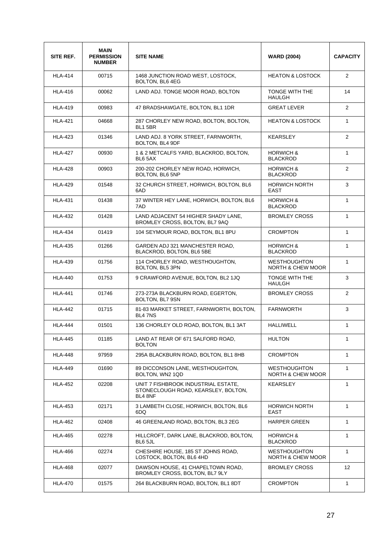| SITE REF.      | <b>MAIN</b><br><b>PERMISSION</b><br><b>NUMBER</b> | <b>SITE NAME</b>                                                                      | <b>WARD (2004)</b>                                  | <b>CAPACITY</b>   |
|----------------|---------------------------------------------------|---------------------------------------------------------------------------------------|-----------------------------------------------------|-------------------|
| <b>HLA-414</b> | 00715                                             | 1468 JUNCTION ROAD WEST, LOSTOCK,<br>BOLTON, BL6 4EG                                  | <b>HEATON &amp; LOSTOCK</b>                         | 2                 |
| <b>HLA-416</b> | 00062                                             | LAND ADJ. TONGE MOOR ROAD, BOLTON                                                     | TONGE WITH THE<br><b>HAULGH</b>                     | 14                |
| <b>HLA-419</b> | 00983                                             | 47 BRADSHAWGATE, BOLTON, BL1 1DR                                                      | <b>GREAT LEVER</b>                                  | $\overline{2}$    |
| <b>HLA-421</b> | 04668                                             | 287 CHORLEY NEW ROAD, BOLTON, BOLTON,<br><b>BL1 5BR</b>                               | <b>HEATON &amp; LOSTOCK</b>                         | $\mathbf{1}$      |
| <b>HLA-423</b> | 01346                                             | LAND ADJ. 8 YORK STREET, FARNWORTH,<br>BOLTON, BL4 9DF                                | <b>KEARSLEY</b>                                     | 2                 |
| <b>HLA-427</b> | 00930                                             | 1 & 2 METCALFS YARD, BLACKROD, BOLTON,<br>BL6 5AX                                     | <b>HORWICH &amp;</b><br><b>BLACKROD</b>             | $\mathbf{1}$      |
| <b>HLA-428</b> | 00903                                             | 200-202 CHORLEY NEW ROAD, HORWICH,<br><b>BOLTON, BL6 5NP</b>                          | <b>HORWICH &amp;</b><br><b>BLACKROD</b>             | 2                 |
| <b>HLA-429</b> | 01548                                             | 32 CHURCH STREET, HORWICH, BOLTON, BL6<br>6AD                                         | <b>HORWICH NORTH</b><br>EAST                        | 3                 |
| <b>HLA-431</b> | 01438                                             | 37 WINTER HEY LANE, HORWICH, BOLTON, BL6<br>7AD                                       | <b>HORWICH &amp;</b><br><b>BLACKROD</b>             | $\mathbf{1}$      |
| <b>HLA-432</b> | 01428                                             | LAND ADJACENT 54 HIGHER SHADY LANE.<br>BROMLEY CROSS, BOLTON, BL7 9AQ                 | <b>BROMLEY CROSS</b>                                | $\mathbf{1}$      |
| <b>HLA-434</b> | 01419                                             | 104 SEYMOUR ROAD, BOLTON, BL1 8PU                                                     | <b>CROMPTON</b>                                     | $\mathbf{1}$      |
| <b>HLA-435</b> | 01266                                             | GARDEN ADJ 321 MANCHESTER ROAD,<br>BLACKROD, BOLTON, BL6 5BE                          | <b>HORWICH &amp;</b><br><b>BLACKROD</b>             | $\mathbf{1}$      |
| <b>HLA-439</b> | 01756                                             | 114 CHORLEY ROAD, WESTHOUGHTON,<br>BOLTON, BL5 3PN                                    | <b>WESTHOUGHTON</b><br><b>NORTH &amp; CHEW MOOR</b> | $\mathbf{1}$      |
| <b>HLA-440</b> | 01753                                             | 9 CRAWFORD AVENUE, BOLTON, BL2 1JQ                                                    | TONGE WITH THE<br><b>HAULGH</b>                     | 3                 |
| <b>HLA-441</b> | 01746                                             | 273-273A BLACKBURN ROAD, EGERTON,<br>BOLTON, BL7 9SN                                  | <b>BROMLEY CROSS</b>                                | $\overline{2}$    |
| <b>HLA-442</b> | 01715                                             | 81-83 MARKET STREET, FARNWORTH, BOLTON,<br><b>BL4 7NS</b>                             | <b>FARNWORTH</b>                                    | 3                 |
| <b>HLA-444</b> | 01501                                             | 136 CHORLEY OLD ROAD, BOLTON, BL1 3AT                                                 | <b>HALLIWELL</b>                                    | $\mathbf{1}$      |
| <b>HLA-445</b> | 01185                                             | LAND AT REAR OF 671 SALFORD ROAD,<br><b>BOLTON</b>                                    | <b>HULTON</b>                                       | $\mathbf{1}$      |
| <b>HLA-448</b> | 97959                                             | 295A BLACKBURN ROAD, BOLTON, BL1 8HB                                                  | <b>CROMPTON</b>                                     | $\mathbf{1}$      |
| <b>HLA-449</b> | 01690                                             | 89 DICCONSON LANE, WESTHOUGHTON,<br>BOLTON, WN2 1QD                                   | <b>WESTHOUGHTON</b><br>NORTH & CHEW MOOR            | $\mathbf{1}$      |
| <b>HLA-452</b> | 02208                                             | UNIT 7 FISHBROOK INDUSTRIAL ESTATE,<br>STONECLOUGH ROAD, KEARSLEY, BOLTON,<br>BL4 8NF | KEARSLEY                                            | $\mathbf{1}$      |
| <b>HLA-453</b> | 02171                                             | 3 LAMBETH CLOSE, HORWICH, BOLTON, BL6<br>6DQ                                          | <b>HORWICH NORTH</b><br>EAST                        | $\mathbf{1}$      |
| <b>HLA-462</b> | 02408                                             | 46 GREENLAND ROAD, BOLTON, BL3 2EG                                                    | HARPER GREEN                                        | $\mathbf{1}$      |
| <b>HLA-465</b> | 02278                                             | HILLCROFT, DARK LANE, BLACKROD, BOLTON,<br>BL6 5JL                                    | <b>HORWICH &amp;</b><br><b>BLACKROD</b>             | $\mathbf{1}$      |
| <b>HLA-466</b> | 02274                                             | CHESHIRE HOUSE, 185 ST JOHNS ROAD,<br>LOSTOCK, BOLTON, BL6 4HD                        | <b>WESTHOUGHTON</b><br><b>NORTH &amp; CHEW MOOR</b> | $\mathbf{1}$      |
| <b>HLA-468</b> | 02077                                             | DAWSON HOUSE, 41 CHAPELTOWN ROAD,<br>BROMLEY CROSS, BOLTON, BL7 9LY                   | <b>BROMLEY CROSS</b>                                | $12 \overline{ }$ |
| <b>HLA-470</b> | 01575                                             | 264 BLACKBURN ROAD, BOLTON, BL1 8DT                                                   | <b>CROMPTON</b>                                     | $\mathbf{1}$      |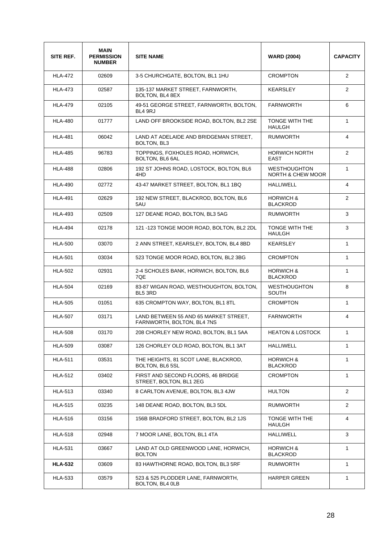| SITE REF.      | <b>MAIN</b><br><b>PERMISSION</b><br><b>NUMBER</b> | <b>SITE NAME</b>                                                    | <b>WARD (2004)</b>                       | <b>CAPACITY</b> |
|----------------|---------------------------------------------------|---------------------------------------------------------------------|------------------------------------------|-----------------|
| <b>HLA-472</b> | 02609                                             | 3-5 CHURCHGATE, BOLTON, BL1 1HU                                     | <b>CROMPTON</b>                          | $\overline{2}$  |
| <b>HLA-473</b> | 02587                                             | 135-137 MARKET STREET, FARNWORTH.<br>BOLTON, BL4 8EX                | <b>KEARSLEY</b>                          | $\overline{2}$  |
| <b>HLA-479</b> | 02105                                             | 49-51 GEORGE STREET, FARNWORTH, BOLTON,<br>BL4 9RJ                  | <b>FARNWORTH</b>                         | 6               |
| <b>HLA-480</b> | 01777                                             | LAND OFF BROOKSIDE ROAD, BOLTON, BL2 2SE                            | TONGE WITH THE<br><b>HAULGH</b>          | $\mathbf{1}$    |
| <b>HLA-481</b> | 06042                                             | LAND AT ADELAIDE AND BRIDGEMAN STREET,<br><b>BOLTON, BL3</b>        | <b>RUMWORTH</b>                          | $\overline{4}$  |
| <b>HLA-485</b> | 96783                                             | TOPPINGS, FOXHOLES ROAD, HORWICH,<br><b>BOLTON, BL6 6AL</b>         | <b>HORWICH NORTH</b><br>EAST             | $\overline{2}$  |
| <b>HLA-488</b> | 02806                                             | 192 ST JOHNS ROAD, LOSTOCK, BOLTON, BL6<br>4HD                      | <b>WESTHOUGHTON</b><br>NORTH & CHEW MOOR | $\mathbf{1}$    |
| <b>HLA-490</b> | 02772                                             | 43-47 MARKET STREET, BOLTON, BL1 1BQ                                | <b>HALLIWELL</b>                         | 4               |
| <b>HLA-491</b> | 02629                                             | 192 NEW STREET, BLACKROD, BOLTON, BL6<br>5AU                        | <b>HORWICH &amp;</b><br><b>BLACKROD</b>  | $\overline{2}$  |
| <b>HLA-493</b> | 02509                                             | 127 DEANE ROAD, BOLTON, BL3 5AG                                     | <b>RUMWORTH</b>                          | 3               |
| <b>HLA-494</b> | 02178                                             | 121 -123 TONGE MOOR ROAD, BOLTON, BL2 2DL                           | TONGE WITH THE<br><b>HAULGH</b>          | 3               |
| <b>HLA-500</b> | 03070                                             | 2 ANN STREET, KEARSLEY, BOLTON, BL4 8BD                             | <b>KEARSLEY</b>                          | $\mathbf{1}$    |
| <b>HLA-501</b> | 03034                                             | 523 TONGE MOOR ROAD, BOLTON, BL2 3BG                                | <b>CROMPTON</b>                          | $\mathbf{1}$    |
| <b>HLA-502</b> | 02931                                             | 2-4 SCHOLES BANK, HORWICH, BOLTON, BL6<br>7QE                       | <b>HORWICH &amp;</b><br><b>BLACKROD</b>  | $\mathbf{1}$    |
| <b>HLA-504</b> | 02169                                             | 83-87 WIGAN ROAD, WESTHOUGHTON, BOLTON,<br>BL5 3RD                  | <b>WESTHOUGHTON</b><br><b>SOUTH</b>      | 8               |
| <b>HLA-505</b> | 01051                                             | 635 CROMPTON WAY, BOLTON, BL1 8TL                                   | <b>CROMPTON</b>                          | $\mathbf{1}$    |
| <b>HLA-507</b> | 03171                                             | LAND BETWEEN 55 AND 65 MARKET STREET,<br>FARNWORTH, BOLTON, BL4 7NS | <b>FARNWORTH</b>                         | 4               |
| <b>HLA-508</b> | 03170                                             | 208 CHORLEY NEW ROAD, BOLTON, BL1 5AA                               | <b>HEATON &amp; LOSTOCK</b>              | 1               |
| <b>HLA-509</b> | 03087                                             | 126 CHORLEY OLD ROAD, BOLTON, BL1 3AT                               | HALLIWELL                                | $\mathbf{1}$    |
| <b>HLA-511</b> | 03531                                             | THE HEIGHTS, 81 SCOT LANE, BLACKROD,<br>BOLTON, BL6 5SL             | <b>HORWICH &amp;</b><br><b>BLACKROD</b>  | 1               |
| <b>HLA-512</b> | 03402                                             | FIRST AND SECOND FLOORS, 46 BRIDGE<br>STREET, BOLTON, BL1 2EG       | <b>CROMPTON</b>                          | 1               |
| <b>HLA-513</b> | 03340                                             | 8 CARLTON AVENUE, BOLTON, BL3 4JW                                   | <b>HULTON</b>                            | $\overline{2}$  |
| <b>HLA-515</b> | 03235                                             | 148 DEANE ROAD, BOLTON, BL3 5DL                                     | <b>RUMWORTH</b>                          | $\overline{2}$  |
| <b>HLA-516</b> | 03156                                             | 156B BRADFORD STREET, BOLTON, BL2 1JS                               | TONGE WITH THE<br><b>HAULGH</b>          | $\overline{4}$  |
| <b>HLA-518</b> | 02948                                             | 7 MOOR LANE, BOLTON, BL1 4TA                                        | HALLIWELL                                | 3               |
| <b>HLA-531</b> | 03667                                             | LAND AT OLD GREENWOOD LANE, HORWICH,<br><b>BOLTON</b>               | <b>HORWICH &amp;</b><br><b>BLACKROD</b>  | 1               |
| <b>HLA-532</b> | 03609                                             | 83 HAWTHORNE ROAD, BOLTON, BL3 5RF                                  | RUMWORTH                                 | $\mathbf 1$     |
| <b>HLA-533</b> | 03579                                             | 523 & 525 PLODDER LANE, FARNWORTH,<br>BOLTON, BL4 0LB               | <b>HARPER GREEN</b>                      | $\mathbf{1}$    |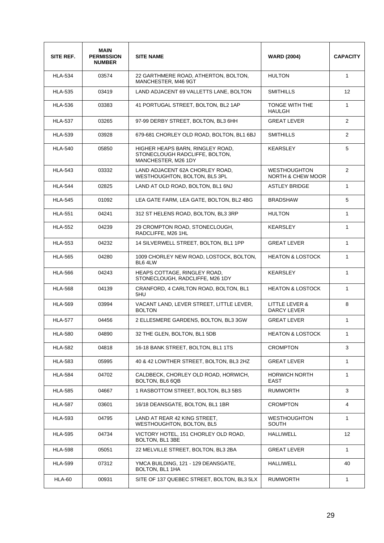| SITE REF.      | <b>MAIN</b><br><b>PERMISSION</b><br><b>NUMBER</b> | <b>SITE NAME</b>                                                                          | <b>WARD (2004)</b>                              | <b>CAPACITY</b> |
|----------------|---------------------------------------------------|-------------------------------------------------------------------------------------------|-------------------------------------------------|-----------------|
| <b>HLA-534</b> | 03574                                             | 22 GARTHMERE ROAD, ATHERTON, BOLTON,<br>MANCHESTER, M46 9GT                               | <b>HULTON</b>                                   | $\mathbf{1}$    |
| <b>HLA-535</b> | 03419                                             | LAND ADJACENT 69 VALLETTS LANE, BOLTON                                                    | <b>SMITHILLS</b>                                | 12 <sup>2</sup> |
| <b>HLA-536</b> | 03383                                             | 41 PORTUGAL STREET, BOLTON, BL2 1AP                                                       | TONGE WITH THE<br><b>HAULGH</b>                 | $\mathbf{1}$    |
| <b>HLA-537</b> | 03265                                             | 97-99 DERBY STREET, BOLTON, BL3 6HH                                                       | <b>GREAT LEVER</b>                              | $\overline{2}$  |
| <b>HLA-539</b> | 03928                                             | 679-681 CHORLEY OLD ROAD, BOLTON, BL1 6BJ                                                 | <b>SMITHILLS</b>                                | $\overline{2}$  |
| <b>HLA-540</b> | 05850                                             | HIGHER HEAPS BARN, RINGLEY ROAD,<br>STONECLOUGH RADCLIFFE, BOLTON,<br>MANCHESTER, M26 1DY | <b>KEARSLEY</b>                                 | 5               |
| <b>HLA-543</b> | 03332                                             | LAND ADJACENT 62A CHORLEY ROAD.<br>WESTHOUGHTON, BOLTON, BL5 3PL                          | <b>WESTHOUGHTON</b><br>NORTH & CHEW MOOR        | $\overline{2}$  |
| <b>HLA-544</b> | 02825                                             | LAND AT OLD ROAD, BOLTON, BL1 6NJ                                                         | <b>ASTLEY BRIDGE</b>                            | $\mathbf{1}$    |
| <b>HLA-545</b> | 01092                                             | LEA GATE FARM, LEA GATE, BOLTON, BL2 4BG                                                  | <b>BRADSHAW</b>                                 | 5               |
| <b>HLA-551</b> | 04241                                             | 312 ST HELENS ROAD, BOLTON, BL3 3RP                                                       | <b>HULTON</b>                                   | $\mathbf{1}$    |
| <b>HLA-552</b> | 04239                                             | 29 CROMPTON ROAD, STONECLOUGH,<br>RADCLIFFE, M26 1HL                                      | KEARSLEY                                        | $\mathbf{1}$    |
| <b>HLA-553</b> | 04232                                             | 14 SILVERWELL STREET, BOLTON, BL1 1PP                                                     | <b>GREAT LEVER</b>                              | $\mathbf{1}$    |
| <b>HLA-565</b> | 04280                                             | 1009 CHORLEY NEW ROAD, LOSTOCK, BOLTON,<br>BL6 4LW                                        | <b>HEATON &amp; LOSTOCK</b>                     | $\mathbf{1}$    |
| <b>HLA-566</b> | 04243                                             | HEAPS COTTAGE, RINGLEY ROAD,<br>STONECLOUGH, RADCLIFFE, M26 1DY                           | <b>KEARSLEY</b>                                 | $\mathbf{1}$    |
| <b>HLA-568</b> | 04139                                             | CRANFORD, 4 CARLTON ROAD, BOLTON, BL1<br>5HU                                              | <b>HEATON &amp; LOSTOCK</b>                     | $\mathbf{1}$    |
| <b>HLA-569</b> | 03994                                             | VACANT LAND, LEVER STREET, LITTLE LEVER,<br><b>BOLTON</b>                                 | <b>LITTLE LEVER &amp;</b><br><b>DARCY LEVER</b> | 8               |
| <b>HLA-577</b> | 04456                                             | 2 ELLESMERE GARDENS, BOLTON, BL3 3GW                                                      | <b>GREAT LEVER</b>                              | $\mathbf{1}$    |
| <b>HLA-580</b> | 04890                                             | 32 THE GLEN, BOLTON, BL1 5DB                                                              | <b>HEATON &amp; LOSTOCK</b>                     | $\mathbf{1}$    |
| <b>HLA-582</b> | 04818                                             | 16-18 BANK STREET, BOLTON, BL1 1TS                                                        | <b>CROMPTON</b>                                 | 3               |
| <b>HLA-583</b> | 05995                                             | 40 & 42 LOWTHER STREET, BOLTON, BL3 2HZ                                                   | GREAT LEVER                                     | $\mathbf{1}$    |
| <b>HLA-584</b> | 04702                                             | CALDBECK, CHORLEY OLD ROAD, HORWICH,<br>BOLTON, BL6 6QB                                   | <b>HORWICH NORTH</b><br>EAST                    | $\mathbf{1}$    |
| <b>HLA-585</b> | 04667                                             | 1 RASBOTTOM STREET, BOLTON, BL3 5BS                                                       | <b>RUMWORTH</b>                                 | 3               |
| <b>HLA-587</b> | 03601                                             | 16/18 DEANSGATE, BOLTON, BL1 1BR                                                          | <b>CROMPTON</b>                                 | 4               |
| <b>HLA-593</b> | 04795                                             | LAND AT REAR 42 KING STREET,<br>WESTHOUGHTON, BOLTON, BL5                                 | <b>WESTHOUGHTON</b><br><b>SOUTH</b>             | 1               |
| <b>HLA-595</b> | 04734                                             | VICTORY HOTEL, 151 CHORLEY OLD ROAD,<br>BOLTON, BL1 3BE                                   | HALLIWELL                                       | 12              |
| <b>HLA-598</b> | 05051                                             | 22 MELVILLE STREET, BOLTON, BL3 2BA                                                       | GREAT LEVER                                     | $\mathbf{1}$    |
| <b>HLA-599</b> | 07312                                             | YMCA BUILDING, 121 - 129 DEANSGATE,<br>BOLTON, BL1 1HA                                    | HALLIWELL                                       | 40              |
| <b>HLA-60</b>  | 00931                                             | SITE OF 137 QUEBEC STREET, BOLTON, BL3 5LX                                                | <b>RUMWORTH</b>                                 | 1               |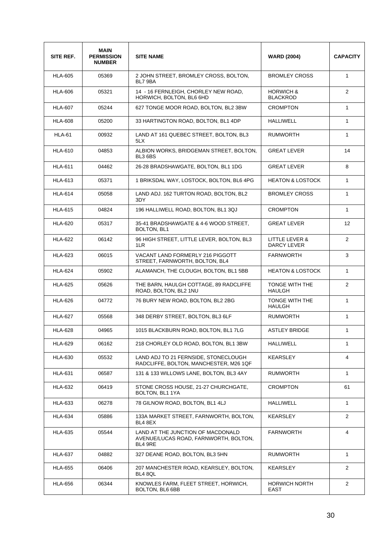| SITE REF.      | <b>MAIN</b><br><b>PERMISSION</b><br><b>NUMBER</b> | <b>SITE NAME</b>                                                                      | <b>WARD (2004)</b>                      | <b>CAPACITY</b> |
|----------------|---------------------------------------------------|---------------------------------------------------------------------------------------|-----------------------------------------|-----------------|
| <b>HLA-605</b> | 05369                                             | 2 JOHN STREET, BROMLEY CROSS, BOLTON,<br>BL7 9BA                                      | <b>BROMLEY CROSS</b>                    | $\mathbf{1}$    |
| <b>HLA-606</b> | 05321                                             | 14 - 16 FERNLEIGH, CHORLEY NEW ROAD,<br>HORWICH, BOLTON, BL6 6HD                      | <b>HORWICH &amp;</b><br><b>BLACKROD</b> | $\overline{2}$  |
| <b>HLA-607</b> | 05244                                             | 627 TONGE MOOR ROAD, BOLTON, BL2 3BW                                                  | <b>CROMPTON</b>                         | $\mathbf{1}$    |
| <b>HLA-608</b> | 05200                                             | 33 HARTINGTON ROAD, BOLTON, BL1 4DP                                                   | <b>HALLIWELL</b>                        | $\mathbf{1}$    |
| <b>HLA-61</b>  | 00932                                             | LAND AT 161 QUEBEC STREET, BOLTON, BL3<br>5LX                                         | <b>RUMWORTH</b>                         | $\mathbf{1}$    |
| <b>HLA-610</b> | 04853                                             | ALBION WORKS, BRIDGEMAN STREET, BOLTON,<br>BL3 6BS                                    | <b>GREAT LEVER</b>                      | 14              |
| <b>HLA-611</b> | 04462                                             | 26-28 BRADSHAWGATE, BOLTON, BL1 1DG                                                   | <b>GREAT LEVER</b>                      | 8               |
| <b>HLA-613</b> | 05371                                             | 1 BRIKSDAL WAY, LOSTOCK, BOLTON, BL6 4PG                                              | <b>HEATON &amp; LOSTOCK</b>             | $\mathbf{1}$    |
| <b>HLA-614</b> | 05058                                             | LAND ADJ. 162 TURTON ROAD, BOLTON, BL2<br>3DY                                         | <b>BROMLEY CROSS</b>                    | $\mathbf{1}$    |
| <b>HLA-615</b> | 04824                                             | 196 HALLIWELL ROAD, BOLTON, BL1 3QJ                                                   | <b>CROMPTON</b>                         | $\mathbf{1}$    |
| <b>HLA-620</b> | 05317                                             | 35-41 BRADSHAWGATE & 4-6 WOOD STREET,<br>BOLTON, BL1                                  | <b>GREAT LEVER</b>                      | 12              |
| <b>HLA-622</b> | 06142                                             | 96 HIGH STREET, LITTLE LEVER, BOLTON, BL3<br>1LR                                      | LITTLE LEVER &<br><b>DARCY LEVER</b>    | 2               |
| <b>HLA-623</b> | 06015                                             | VACANT LAND FORMERLY 216 PIGGOTT<br>STREET, FARNWORTH, BOLTON, BL4                    | <b>FARNWORTH</b>                        | 3               |
| <b>HLA-624</b> | 05902                                             | ALAMANCH, THE CLOUGH, BOLTON, BL1 5BB                                                 | <b>HEATON &amp; LOSTOCK</b>             | $\mathbf{1}$    |
| <b>HLA-625</b> | 05626                                             | THE BARN, HAULGH COTTAGE, 89 RADCLIFFE<br>ROAD, BOLTON, BL2 1NU                       | TONGE WITH THE<br><b>HAULGH</b>         | $\overline{2}$  |
| <b>HLA-626</b> | 04772                                             | 76 BURY NEW ROAD, BOLTON, BL2 2BG                                                     | TONGE WITH THE<br><b>HAULGH</b>         | $\mathbf{1}$    |
| <b>HLA-627</b> | 05568                                             | 348 DERBY STREET, BOLTON, BL3 6LF                                                     | <b>RUMWORTH</b>                         | $\mathbf{1}$    |
| <b>HLA-628</b> | 04965                                             | 1015 BLACKBURN ROAD, BOLTON, BL1 7LG                                                  | <b>ASTLEY BRIDGE</b>                    | 1               |
| <b>HLA-629</b> | 06162                                             | 218 CHORLEY OLD ROAD, BOLTON, BL1 3BW                                                 | HALLIWELL                               | $\mathbf{1}$    |
| <b>HLA-630</b> | 05532                                             | LAND ADJ TO 21 FERNSIDE, STONECLOUGH<br>RADCLIFFE, BOLTON, MANCHESTER, M26 1QF        | <b>KEARSLEY</b>                         | 4               |
| <b>HLA-631</b> | 06587                                             | 131 & 133 WILLOWS LANE, BOLTON, BL3 4AY                                               | <b>RUMWORTH</b>                         | $\mathbf{1}$    |
| <b>HLA-632</b> | 06419                                             | STONE CROSS HOUSE, 21-27 CHURCHGATE,<br>BOLTON, BL1 1YA                               | <b>CROMPTON</b>                         | 61              |
| <b>HLA-633</b> | 06278                                             | 78 GILNOW ROAD, BOLTON, BL1 4LJ                                                       | HALLIWELL                               | $\mathbf{1}$    |
| <b>HLA-634</b> | 05886                                             | 133A MARKET STREET, FARNWORTH, BOLTON,<br>BL4 8EX                                     | <b>KEARSLEY</b>                         | $\overline{2}$  |
| <b>HLA-635</b> | 05544                                             | LAND AT THE JUNCTION OF MACDONALD<br>AVENUE/LUCAS ROAD, FARNWORTH, BOLTON,<br>BL4 9RE | <b>FARNWORTH</b>                        | 4               |
| <b>HLA-637</b> | 04882                                             | 327 DEANE ROAD, BOLTON, BL3 5HN                                                       | <b>RUMWORTH</b>                         | $\mathbf{1}$    |
| <b>HLA-655</b> | 06406                                             | 207 MANCHESTER ROAD, KEARSLEY, BOLTON,<br>BL4 8QL                                     | <b>KEARSLEY</b>                         | 2               |
| <b>HLA-656</b> | 06344                                             | KNOWLES FARM, FLEET STREET, HORWICH,<br>BOLTON, BL6 6BB                               | <b>HORWICH NORTH</b><br>EAST            | 2               |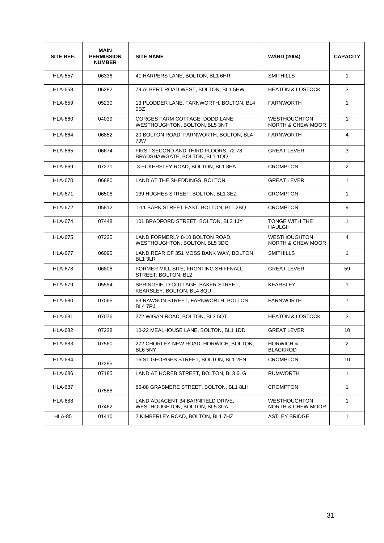| SITE REF.      | <b>MAIN</b><br><b>PERMISSION</b><br><b>NUMBER</b> | <b>SITE NAME</b>                                                      | <b>WARD (2004)</b>                                  | <b>CAPACITY</b> |
|----------------|---------------------------------------------------|-----------------------------------------------------------------------|-----------------------------------------------------|-----------------|
| <b>HLA-657</b> | 06336                                             | 41 HARPERS LANE, BOLTON, BL1 6HR                                      | <b>SMITHILLS</b>                                    | $\mathbf{1}$    |
| <b>HLA-658</b> | 06282                                             | 79 ALBERT ROAD WEST, BOLTON, BL1 5HW                                  | <b>HEATON &amp; LOSTOCK</b>                         | 3               |
| <b>HLA-659</b> | 05230                                             | 13 PLODDER LANE, FARNWORTH, BOLTON, BL4<br>0BZ                        | <b>FARNWORTH</b>                                    | $\mathbf{1}$    |
| <b>HLA-660</b> | 04039                                             | CORGES FARM COTTAGE, DODD LANE.<br>WESTHOUGHTON, BOLTON, BL5 3NT      | <b>WESTHOUGHTON</b><br>NORTH & CHEW MOOR            | $\mathbf{1}$    |
| <b>HLA-664</b> | 06852                                             | 20 BOLTON ROAD, FARNWORTH, BOLTON, BL4<br>7JW                         | <b>FARNWORTH</b>                                    | 4               |
| <b>HLA-665</b> | 06674                                             | FIRST SECOND AND THIRD FLOORS, 72-78<br>BRADSHAWGATE, BOLTON, BL1 1QQ | <b>GREAT LEVER</b>                                  | 3               |
| <b>HLA-669</b> | 07271                                             | 3 ECKERSLEY ROAD, BOLTON, BL1 8EA                                     | <b>CROMPTON</b>                                     | 2               |
| <b>HLA-670</b> | 06880                                             | LAND AT THE SHEDDINGS, BOLTON                                         | <b>GREAT LEVER</b>                                  | $\mathbf{1}$    |
| <b>HLA-671</b> | 06508                                             | 139 HUGHES STREET, BOLTON, BL1 3EZ                                    | <b>CROMPTON</b>                                     | $\mathbf{1}$    |
| <b>HLA-672</b> | 05812                                             | 1-11 BARK STREET EAST, BOLTON, BL1 2BQ                                | <b>CROMPTON</b>                                     | 9               |
| <b>HLA-674</b> | 07448                                             | 101 BRADFORD STREET, BOLTON, BL2 1JY                                  | TONGE WITH THE<br><b>HAULGH</b>                     | 1               |
| <b>HLA-675</b> | 07235                                             | LAND FORMERLY 8-10 BOLTON ROAD,<br>WESTHOUGHTON, BOLTON, BL5 3DG      | <b>WESTHOUGHTON</b><br><b>NORTH &amp; CHEW MOOR</b> | 4               |
| <b>HLA-677</b> | 06095                                             | LAND REAR OF 351 MOSS BANK WAY, BOLTON,<br>BL1 3LR                    | <b>SMITHILLS</b>                                    | $\mathbf{1}$    |
| <b>HLA-678</b> | 06808                                             | FORMER MILL SITE, FRONTING SHIFFNALL<br>STREET, BOLTON, BL2           | <b>GREAT LEVER</b>                                  | 59              |
| <b>HLA-679</b> | 05554                                             | SPRINGFIELD COTTAGE, BAKER STREET,<br>KEARSLEY, BOLTON, BL4 8QU       | <b>KEARSLEY</b>                                     | $\mathbf{1}$    |
| <b>HLA-680</b> | 07065                                             | 63 RAWSON STREET, FARNWORTH, BOLTON,<br>BL4 7RJ                       | <b>FARNWORTH</b>                                    | $\overline{7}$  |
| <b>HLA-681</b> | 07076                                             | 272 WIGAN ROAD, BOLTON, BL3 5QT                                       | <b>HEATON &amp; LOSTOCK</b>                         | 3               |
| <b>HLA-682</b> | 07238                                             | 10-22 MEALHOUSE LANE, BOLTON, BL1 1DD                                 | <b>GREAT LEVER</b>                                  | 10              |
| <b>HLA-683</b> | 07560                                             | 272 CHORLEY NEW ROAD, HORWICH, BOLTON,<br>BL6 5NY                     | <b>HORWICH &amp;</b><br><b>BLACKROD</b>             | 2               |
| <b>HLA-684</b> | 07295                                             | 16 ST GEORGES STREET, BOLTON, BL1 2EN                                 | <b>CROMPTON</b>                                     | 10              |
| <b>HLA-686</b> | 07185                                             | LAND AT HOREB STREET, BOLTON, BL3 6LG                                 | <b>RUMWORTH</b>                                     | $\mathbf{1}$    |
| <b>HLA-687</b> | 07588                                             | 86-88 GRASMERE STREET, BOLTON, BL1 8LH                                | <b>CROMPTON</b>                                     | $\mathbf{1}$    |
| <b>HLA-688</b> | 07462                                             | LAND ADJACENT 34 BARNFIELD DRIVE,<br>WESTHOUGHTON, BOLTON, BL5 3UA    | <b>WESTHOUGHTON</b><br><b>NORTH &amp; CHEW MOOR</b> | $\mathbf{1}$    |
| <b>HLA-85</b>  | 01410                                             | 2 KIMBERLEY ROAD, BOLTON, BL1 7HZ                                     | <b>ASTLEY BRIDGE</b>                                | $\mathbf{1}$    |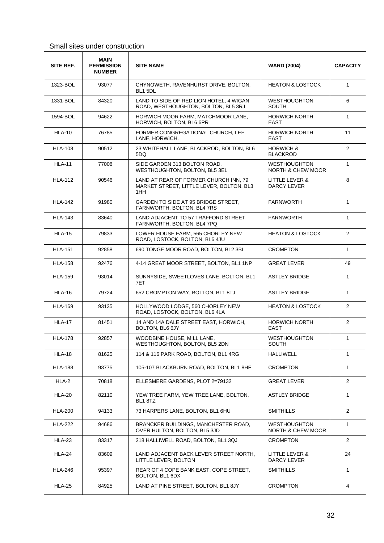#### Small sites under construction

| SITE REF.      | <b>MAIN</b><br><b>PERMISSION</b><br><b>NUMBER</b> | <b>SITE NAME</b>                                                                         | <b>WARD (2004)</b>                       | <b>CAPACITY</b>       |
|----------------|---------------------------------------------------|------------------------------------------------------------------------------------------|------------------------------------------|-----------------------|
| 1323-BOL       | 93077                                             | CHYNOWETH, RAVENHURST DRIVE, BOLTON,<br>BL1 5DL                                          | <b>HEATON &amp; LOSTOCK</b>              | $\mathbf{1}$          |
| 1331-BOL       | 84320                                             | LAND TO SIDE OF RED LION HOTEL, 4 WIGAN<br>ROAD, WESTHOUGHTON, BOLTON, BL5 3RJ           | <b>WESTHOUGHTON</b><br><b>SOUTH</b>      | 6                     |
| 1594-BOL       | 94622                                             | HORWICH MOOR FARM, MATCHMOOR LANE,<br>HORWICH, BOLTON, BL6 6PR                           | <b>HORWICH NORTH</b><br><b>EAST</b>      | $\mathbf{1}$          |
| <b>HLA-10</b>  | 76785                                             | FORMER CONGREGATIONAL CHURCH, LEE<br>LANE, HORWICH.                                      | <b>HORWICH NORTH</b><br><b>EAST</b>      | 11                    |
| <b>HLA-108</b> | 90512                                             | 23 WHITEHALL LANE, BLACKROD, BOLTON, BL6<br>5DQ                                          | <b>HORWICH &amp;</b><br><b>BLACKROD</b>  | $\overline{2}$        |
| <b>HLA-11</b>  | 77008                                             | SIDE GARDEN 313 BOLTON ROAD,<br>WESTHOUGHTON, BOLTON, BL5 3EL                            | <b>WESTHOUGHTON</b><br>NORTH & CHEW MOOR | 1                     |
| <b>HLA-112</b> | 90546                                             | LAND AT REAR OF FORMER CHURCH INN, 79<br>MARKET STREET, LITTLE LEVER, BOLTON, BL3<br>1HH | LITTLE LEVER &<br>DARCY LEVER            | 8                     |
| <b>HLA-142</b> | 91980                                             | GARDEN TO SIDE AT 95 BRIDGE STREET.<br>FARNWORTH, BOLTON, BL4 7RS                        | <b>FARNWORTH</b>                         | $\mathbf{1}$          |
| <b>HLA-143</b> | 83640                                             | LAND ADJACENT TO 57 TRAFFORD STREET.<br>FARNWORTH, BOLTON, BL4 7PQ                       | <b>FARNWORTH</b>                         | $\mathbf{1}$          |
| <b>HLA-15</b>  | 79833                                             | LOWER HOUSE FARM, 565 CHORLEY NEW<br>ROAD, LOSTOCK, BOLTON, BL6 4JU                      | <b>HEATON &amp; LOSTOCK</b>              | 2                     |
| <b>HLA-151</b> | 92858                                             | 690 TONGE MOOR ROAD, BOLTON, BL2 3BL                                                     | <b>CROMPTON</b>                          | $\mathbf{1}$          |
| <b>HLA-158</b> | 92476                                             | 4-14 GREAT MOOR STREET, BOLTON, BL1 1NP                                                  | <b>GREAT LEVER</b>                       | 49                    |
| <b>HLA-159</b> | 93014                                             | SUNNYSIDE, SWEETLOVES LANE, BOLTON, BL1<br>7ET                                           | <b>ASTLEY BRIDGE</b>                     | $\mathbf{1}$          |
| <b>HLA-16</b>  | 79724                                             | 652 CROMPTON WAY, BOLTON, BL1 8TJ                                                        | <b>ASTLEY BRIDGE</b>                     | $\mathbf{1}$          |
| <b>HLA-169</b> | 93135                                             | HOLLYWOOD LODGE, 560 CHORLEY NEW<br>ROAD, LOSTOCK, BOLTON, BL6 4LA                       | <b>HEATON &amp; LOSTOCK</b>              | $\overline{2}$        |
| <b>HLA-17</b>  | 81451                                             | 14 AND 14A DALE STREET EAST, HORWICH,<br>BOLTON, BL6 6JY                                 | <b>HORWICH NORTH</b><br><b>EAST</b>      | $\overline{2}$        |
| <b>HLA-178</b> | 92857                                             | WOODBINE HOUSE, MILL LANE.<br>WESTHOUGHTON, BOLTON, BL5 2DN                              | <b>WESTHOUGHTON</b><br><b>SOUTH</b>      | $\mathbf{1}$          |
| HLA-18         | 81625                                             | 114 & 116 PARK ROAD, BOLTON, BL1 4RG                                                     | HALLIWELL                                | 1                     |
| <b>HLA-188</b> | 93775                                             | 105-107 BLACKBURN ROAD, BOLTON, BL1 8HF                                                  | <b>CROMPTON</b>                          | $\mathbf{1}$          |
| HLA-2          | 70818                                             | ELLESMERE GARDENS, PLOT 2=79132                                                          | <b>GREAT LEVER</b>                       | $\overline{2}$        |
| <b>HLA-20</b>  | 82110                                             | YEW TREE FARM, YEW TREE LANE, BOLTON,<br>BL1 8TZ                                         | <b>ASTLEY BRIDGE</b>                     | $\mathbf{1}$          |
| <b>HLA-200</b> | 94133                                             | 73 HARPERS LANE, BOLTON, BL1 6HU                                                         | <b>SMITHILLS</b>                         | $\overline{2}$        |
| <b>HLA-222</b> | 94686                                             | BRANCKER BUILDINGS, MANCHESTER ROAD,<br>OVER HULTON, BOLTON, BL5 3JD                     | <b>WESTHOUGHTON</b><br>NORTH & CHEW MOOR | 1                     |
| <b>HLA-23</b>  | 83317                                             | 218 HALLIWELL ROAD, BOLTON, BL1 3QJ                                                      | <b>CROMPTON</b>                          | $\mathbf{2}^{\prime}$ |
| <b>HLA-24</b>  | 83609                                             | LAND ADJACENT BACK LEVER STREET NORTH,<br>LITTLE LEVER, BOLTON                           | LITTLE LEVER &<br><b>DARCY LEVER</b>     | 24                    |
| <b>HLA-246</b> | 95397                                             | REAR OF 4 COPE BANK EAST, COPE STREET,<br>BOLTON, BL1 6DX                                | <b>SMITHILLS</b>                         | 1                     |
| <b>HLA-25</b>  | 84925                                             | LAND AT PINE STREET, BOLTON, BL1 8JY                                                     | <b>CROMPTON</b>                          | 4                     |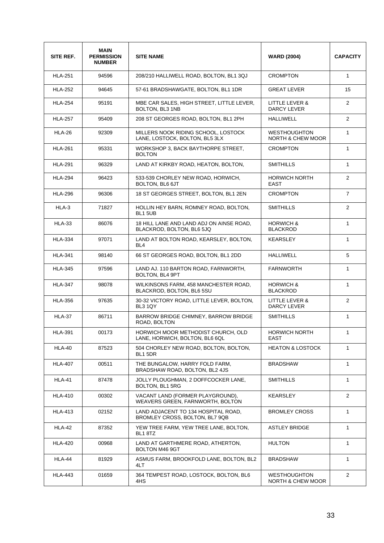| SITE REF.      | <b>MAIN</b><br><b>PERMISSION</b><br><b>NUMBER</b> | <b>SITE NAME</b>                                                      | <b>WARD (2004)</b>                                  | <b>CAPACITY</b> |
|----------------|---------------------------------------------------|-----------------------------------------------------------------------|-----------------------------------------------------|-----------------|
| <b>HLA-251</b> | 94596                                             | 208/210 HALLIWELL ROAD, BOLTON, BL1 3QJ                               | <b>CROMPTON</b>                                     | $\mathbf{1}$    |
| <b>HLA-252</b> | 94645                                             | 57-61 BRADSHAWGATE, BOLTON, BL1 1DR                                   | <b>GREAT LEVER</b>                                  | 15              |
| <b>HLA-254</b> | 95191                                             | MBE CAR SALES, HIGH STREET, LITTLE LEVER,<br>BOLTON, BL3 1NB          | LITTLE LEVER &<br><b>DARCY LEVER</b>                | $\overline{2}$  |
| <b>HLA-257</b> | 95409                                             | 208 ST GEORGES ROAD, BOLTON, BL1 2PH                                  | <b>HALLIWELL</b>                                    | $\overline{2}$  |
| <b>HLA-26</b>  | 92309                                             | MILLERS NOOK RIDING SCHOOL, LOSTOCK<br>LANE, LOSTOCK, BOLTON, BL5 3LX | <b>WESTHOUGHTON</b><br><b>NORTH &amp; CHEW MOOR</b> | $\mathbf{1}$    |
| <b>HLA-261</b> | 95331                                             | WORKSHOP 3, BACK BAYTHORPE STREET,<br><b>BOLTON</b>                   | <b>CROMPTON</b>                                     | $\mathbf{1}$    |
| <b>HLA-291</b> | 96329                                             | LAND AT KIRKBY ROAD, HEATON, BOLTON,                                  | <b>SMITHILLS</b>                                    | $\mathbf{1}$    |
| <b>HLA-294</b> | 96423                                             | 533-539 CHORLEY NEW ROAD, HORWICH.<br><b>BOLTON, BL6 6JT</b>          | <b>HORWICH NORTH</b><br><b>EAST</b>                 | $\overline{2}$  |
| <b>HLA-296</b> | 96306                                             | 18 ST GEORGES STREET, BOLTON, BL1 2EN                                 | <b>CROMPTON</b>                                     | $\overline{7}$  |
| HLA-3          | 71827                                             | HOLLIN HEY BARN, ROMNEY ROAD, BOLTON,<br>BL1 5UB                      | <b>SMITHILLS</b>                                    | $\overline{2}$  |
| <b>HLA-33</b>  | 86076                                             | 18 HILL LANE AND LAND ADJ ON AINSE ROAD.<br>BLACKROD, BOLTON, BL6 5JQ | <b>HORWICH &amp;</b><br><b>BLACKROD</b>             | $\mathbf{1}$    |
| <b>HLA-334</b> | 97071                                             | LAND AT BOLTON ROAD, KEARSLEY, BOLTON,<br>BL <sub>4</sub>             | <b>KEARSLEY</b>                                     | $\mathbf{1}$    |
| <b>HLA-341</b> | 98140                                             | 66 ST GEORGES ROAD, BOLTON, BL1 2DD                                   | <b>HALLIWELL</b>                                    | 5               |
| <b>HLA-345</b> | 97596                                             | LAND AJ. 110 BARTON ROAD, FARNWORTH,<br>BOLTON, BL4 9PT               | <b>FARNWORTH</b>                                    | $\mathbf{1}$    |
| <b>HLA-347</b> | 98078                                             | WILKINSONS FARM, 458 MANCHESTER ROAD,<br>BLACKROD, BOLTON, BL6 5SU    | <b>HORWICH &amp;</b><br><b>BLACKROD</b>             | $\mathbf{1}$    |
| <b>HLA-356</b> | 97635                                             | 30-32 VICTORY ROAD, LITTLE LEVER, BOLTON,<br>BL3 1QY                  | LITTLE LEVER &<br><b>DARCY LEVER</b>                | $\overline{2}$  |
| <b>HLA-37</b>  | 86711                                             | BARROW BRIDGE CHIMNEY, BARROW BRIDGE<br>ROAD, BOLTON                  | <b>SMITHILLS</b>                                    | 1               |
| <b>HLA-391</b> | 00173                                             | HORWICH MOOR METHODIST CHURCH, OLD<br>LANE, HORWICH, BOLTON, BL6 6QL  | <b>HORWICH NORTH</b><br>EAST                        | 1               |
| <b>HLA-40</b>  | 87523                                             | 504 CHORLEY NEW ROAD, BOLTON, BOLTON,<br>BL1 5DR                      | <b>HEATON &amp; LOSTOCK</b>                         | $\mathbf{1}$    |
| <b>HLA-407</b> | 00511                                             | THE BUNGALOW, HARRY FOLD FARM,<br>BRADSHAW ROAD, BOLTON, BL2 4JS      | <b>BRADSHAW</b>                                     | $\mathbf{1}$    |
| HLA-41         | 87478                                             | JOLLY PLOUGHMAN, 2 DOFFCOCKER LANE,<br>BOLTON, BL1 5RG                | <b>SMITHILLS</b>                                    | 1               |
| <b>HLA-410</b> | 00302                                             | VACANT LAND (FORMER PLAYGROUND).<br>WEAVERS GREEN, FARNWORTH, BOLTON  | <b>KEARSLEY</b>                                     | $\overline{2}$  |
| <b>HLA-413</b> | 02152                                             | LAND ADJACENT TO 134 HOSPITAL ROAD.<br>BROMLEY CROSS, BOLTON, BL7 9QB | <b>BROMLEY CROSS</b>                                | $\mathbf{1}$    |
| <b>HLA-42</b>  | 87352                                             | YEW TREE FARM, YEW TREE LANE, BOLTON,<br>BL1 8TZ                      | <b>ASTLEY BRIDGE</b>                                | $\mathbf{1}$    |
| <b>HLA-420</b> | 00968                                             | LAND AT GARTHMERE ROAD, ATHERTON,<br>BOLTON M46 9GT                   | <b>HULTON</b>                                       | 1               |
| HLA-44         | 81929                                             | ASMUS FARM, BROOKFOLD LANE, BOLTON, BL2<br>4LT                        | <b>BRADSHAW</b>                                     | $\mathbf{1}$    |
| <b>HLA-443</b> | 01659                                             | 364 TEMPEST ROAD, LOSTOCK, BOLTON, BL6<br>4HS.                        | <b>WESTHOUGHTON</b><br>NORTH & CHEW MOOR            | $\overline{2}$  |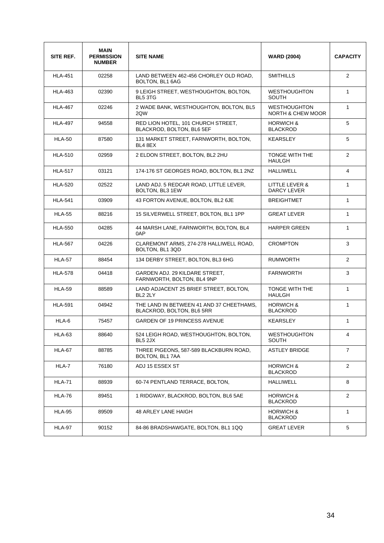| SITE REF.      | <b>MAIN</b><br><b>PERMISSION</b><br><b>NUMBER</b> | <b>SITE NAME</b>                                                      | <b>WARD (2004)</b>                                  | <b>CAPACITY</b> |
|----------------|---------------------------------------------------|-----------------------------------------------------------------------|-----------------------------------------------------|-----------------|
| HI A-451       | 02258                                             | LAND BETWEEN 462-456 CHORLEY OLD ROAD,<br>BOLTON, BL1 6AG             | SMITHILLS                                           | $\overline{2}$  |
| <b>HLA-463</b> | 02390                                             | 9 LEIGH STREET, WESTHOUGHTON, BOLTON,<br>BL5 3TG                      | <b>WESTHOUGHTON</b><br><b>SOUTH</b>                 | $\mathbf{1}$    |
| <b>HLA-467</b> | 02246                                             | 2 WADE BANK, WESTHOUGHTON, BOLTON, BL5<br>2QW                         | <b>WESTHOUGHTON</b><br><b>NORTH &amp; CHEW MOOR</b> | 1               |
| <b>HLA-497</b> | 94558                                             | RED LION HOTEL, 101 CHURCH STREET.<br>BLACKROD, BOLTON, BL6 5EF       | <b>HORWICH &amp;</b><br><b>BLACKROD</b>             | 5               |
| <b>HLA-50</b>  | 87580                                             | 131 MARKET STREET, FARNWORTH, BOLTON,<br>BL4 8EX                      | <b>KEARSLEY</b>                                     | 5               |
| <b>HLA-510</b> | 02959                                             | 2 ELDON STREET, BOLTON, BL2 2HU                                       | <b>TONGE WITH THE</b><br><b>HAULGH</b>              | $\overline{2}$  |
| <b>HLA-517</b> | 03121                                             | 174-176 ST GEORGES ROAD, BOLTON, BL1 2NZ                              | <b>HALLIWELL</b>                                    | $\overline{4}$  |
| <b>HLA-520</b> | 02522                                             | LAND ADJ. 5 REDCAR ROAD, LITTLE LEVER,<br>BOLTON, BL3 1EW             | LITTLE LEVER &<br>DARCY LEVER                       | 1               |
| <b>HLA-541</b> | 03909                                             | 43 FORTON AVENUE, BOLTON, BL2 6JE                                     | <b>BREIGHTMET</b>                                   | 1               |
| <b>HLA-55</b>  | 88216                                             | 15 SILVERWELL STREET, BOLTON, BL1 1PP                                 | <b>GREAT LEVER</b>                                  | $\mathbf{1}$    |
| <b>HLA-550</b> | 04285                                             | 44 MARSH LANE, FARNWORTH, BOLTON, BL4<br>0AP                          | <b>HARPER GREEN</b>                                 | $\mathbf{1}$    |
| <b>HLA-567</b> | 04226                                             | CLAREMONT ARMS, 274-278 HALLIWELL ROAD,<br>BOLTON, BL1 3QD            | <b>CROMPTON</b>                                     | 3               |
| <b>HLA-57</b>  | 88454                                             | 134 DERBY STREET, BOLTON, BL3 6HG                                     | <b>RUMWORTH</b>                                     | $\overline{2}$  |
| <b>HLA-578</b> | 04418                                             | GARDEN ADJ. 29 KILDARE STREET,<br>FARNWORTH, BOLTON, BL4 9NP          | <b>FARNWORTH</b>                                    | 3               |
| <b>HLA-59</b>  | 88589                                             | LAND ADJACENT 25 BRIEF STREET, BOLTON,<br>BL <sub>2</sub> 2LY         | TONGE WITH THE<br><b>HAULGH</b>                     | 1               |
| <b>HLA-591</b> | 04942                                             | THE LAND IN BETWEEN 41 AND 37 CHEETHAMS.<br>BLACKROD, BOLTON, BL6 5RR | <b>HORWICH &amp;</b><br><b>BLACKROD</b>             | 1               |
| HLA-6          | 75457                                             | <b>GARDEN OF 19 PRINCESS AVENUE</b>                                   | <b>KEARSLEY</b>                                     | $\mathbf{1}$    |
| HLA-63         | 88640                                             | 524 LEIGH ROAD, WESTHOUGHTON, BOLTON,<br>BL5 2JX                      | <b>WESTHOUGHTON</b><br>SOUTH                        | 4               |
| HLA-67         | 88785                                             | THREE PIGEONS, 587-589 BLACKBURN ROAD,<br>BOLTON, BL1 7AA             | <b>ASTLEY BRIDGE</b>                                | $\overline{7}$  |
| HLA-7          | 76180                                             | ADJ 15 ESSEX ST                                                       | <b>HORWICH &amp;</b><br><b>BLACKROD</b>             | $\overline{2}$  |
| <b>HLA-71</b>  | 88939                                             | 60-74 PENTLAND TERRACE, BOLTON,                                       | <b>HALLIWELL</b>                                    | 8               |
| HLA-76         | 89451                                             | 1 RIDGWAY, BLACKROD, BOLTON, BL6 5AE                                  | <b>HORWICH &amp;</b><br><b>BLACKROD</b>             | 2               |
| <b>HLA-95</b>  | 89509                                             | 48 ARLEY LANE HAIGH                                                   | <b>HORWICH &amp;</b><br><b>BLACKROD</b>             | $\mathbf{1}$    |
| <b>HLA-97</b>  | 90152                                             | 84-86 BRADSHAWGATE, BOLTON, BL1 1QQ                                   | <b>GREAT LEVER</b>                                  | 5               |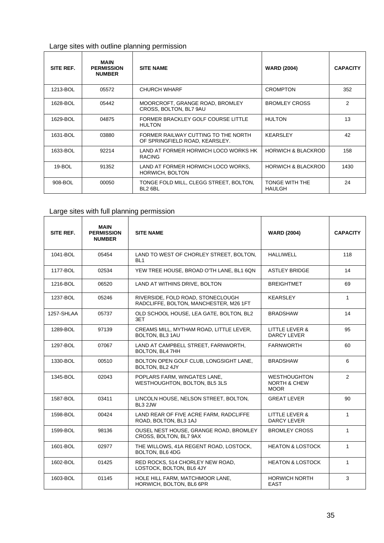| Large sites with outline planning permission |  |
|----------------------------------------------|--|
|----------------------------------------------|--|

| SITE REF.  | <b>MAIN</b><br><b>PERMISSION</b><br><b>NUMBER</b> | <b>SITE NAME</b>                                                      | <b>WARD (2004)</b>              | <b>CAPACITY</b> |
|------------|---------------------------------------------------|-----------------------------------------------------------------------|---------------------------------|-----------------|
| 1213-BOL   | 05572                                             | <b>CHURCH WHARF</b>                                                   | <b>CROMPTON</b>                 | 352             |
| 1628-BOL   | 05442                                             | MOORCROFT, GRANGE ROAD, BROMLEY<br>CROSS, BOLTON, BL7 9AU             | <b>BROMLEY CROSS</b>            | $\overline{2}$  |
| 1629-BOL   | 04875                                             | FORMER BRACKLEY GOLF COURSE LITTLE<br><b>HULTON</b>                   | <b>HULTON</b>                   | 13              |
| 1631-BOL   | 03880                                             | FORMER RAILWAY CUTTING TO THE NORTH<br>OF SPRINGFIELD ROAD, KEARSLEY. | <b>KEARSLEY</b>                 | 42              |
| 1633-BOL   | 92214                                             | LAND AT FORMER HORWICH LOCO WORKS HK<br><b>RACING</b>                 | <b>HORWICH &amp; BLACKROD</b>   | 158             |
| $19 - BOL$ | 91352                                             | LAND AT FORMER HORWICH LOCO WORKS,<br><b>HORWICH, BOLTON</b>          | <b>HORWICH &amp; BLACKROD</b>   | 1430            |
| 908-BOL    | 00050                                             | TONGE FOLD MILL, CLEGG STREET, BOLTON,<br>BL2 6BL                     | TONGE WITH THE<br><b>HAULGH</b> | 24              |

## Large sites with full planning permission

| SITE REF.  | <b>MAIN</b><br><b>PERMISSION</b><br><b>NUMBER</b> | <b>SITE NAME</b>                                                            | <b>WARD (2004)</b>                                            | <b>CAPACITY</b> |
|------------|---------------------------------------------------|-----------------------------------------------------------------------------|---------------------------------------------------------------|-----------------|
| 1041-BOL   | 05454                                             | LAND TO WEST OF CHORLEY STREET, BOLTON,<br>BL <sub>1</sub>                  | <b>HALLIWELL</b>                                              | 118             |
| 1177-BOL   | 02534                                             | YEW TREE HOUSE, BROAD O'TH LANE, BL1 6QN                                    | <b>ASTLEY BRIDGE</b>                                          | 14              |
| 1216-BOL   | 06520                                             | LAND AT WITHINS DRIVE, BOLTON                                               | <b>BREIGHTMET</b>                                             | 69              |
| 1237-BOL   | 05246                                             | RIVERSIDE, FOLD ROAD, STONECLOUGH<br>RADCLIFFE, BOLTON, MANCHESTER, M26 1FT | <b>KEARSLEY</b>                                               | $\mathbf{1}$    |
| 1257-SHLAA | 05737                                             | OLD SCHOOL HOUSE, LEA GATE, BOLTON, BL2<br>3ET                              | <b>BRADSHAW</b>                                               | 14              |
| 1289-BOL   | 97139                                             | CREAMS MILL, MYTHAM ROAD, LITTLE LEVER,<br>BOLTON, BL3 1AU                  | LITTLE LEVER &<br><b>DARCY LEVER</b>                          | 95              |
| 1297-BOL   | 07067                                             | LAND AT CAMPBELL STREET, FARNWORTH,<br>BOLTON, BL4 7HH                      | <b>FARNWORTH</b>                                              | 60              |
| 1330-BOL   | 00510                                             | BOLTON OPEN GOLF CLUB, LONGSIGHT LANE,<br>BOLTON, BL2 4JY                   | <b>BRADSHAW</b>                                               | 6               |
| 1345-BOL   | 02043                                             | POPLARS FARM. WINGATES LANE.<br>WESTHOUGHTON, BOLTON, BL5 3LS               | <b>WESTHOUGHTON</b><br><b>NORTH &amp; CHEW</b><br><b>MOOR</b> | 2               |
| 1587-BOL   | 03411                                             | LINCOLN HOUSE, NELSON STREET, BOLTON,<br>BL3 2JW                            | <b>GREAT LEVER</b>                                            | 90              |
| 1598-BOL   | 00424                                             | LAND REAR OF FIVE ACRE FARM, RADCLIFFE<br>ROAD, BOLTON, BL3 1AJ             | LITTLE LEVER &<br><b>DARCY LEVER</b>                          | $\mathbf{1}$    |
| 1599-BOL   | 98136                                             | OUSEL NEST HOUSE, GRANGE ROAD, BROMLEY<br>CROSS, BOLTON, BL7 9AX            | <b>BROMLEY CROSS</b>                                          | $\mathbf{1}$    |
| 1601-BOL   | 02977                                             | THE WILLOWS, 41A REGENT ROAD, LOSTOCK,<br>BOLTON, BL6 4DG                   | <b>HEATON &amp; LOSTOCK</b>                                   | $\mathbf{1}$    |
| 1602-BOL   | 01425                                             | RED ROCKS, 514 CHORLEY NEW ROAD,<br>LOSTOCK, BOLTON, BL6 4JY                | <b>HEATON &amp; LOSTOCK</b>                                   | $\mathbf{1}$    |
| 1603-BOL   | 01145                                             | HOLE HILL FARM, MATCHMOOR LANE,<br>HORWICH, BOLTON, BL6 6PR                 | <b>HORWICH NORTH</b><br><b>EAST</b>                           | 3               |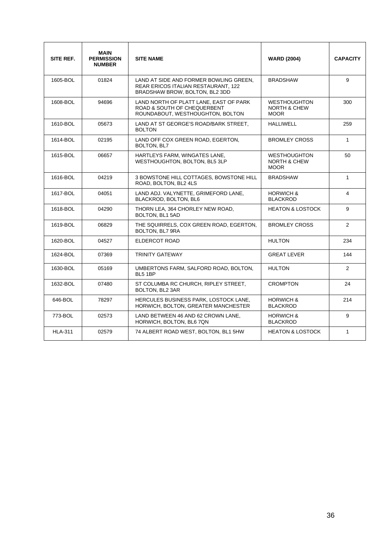| SITE REF.      | MAIN<br><b>PERMISSION</b><br><b>NUMBER</b> | <b>SITE NAME</b>                                                                                                | <b>WARD (2004)</b>                                            | <b>CAPACITY</b> |
|----------------|--------------------------------------------|-----------------------------------------------------------------------------------------------------------------|---------------------------------------------------------------|-----------------|
| 1605-BOL       | 01824                                      | LAND AT SIDE AND FORMER BOWLING GREEN,<br>REAR ERICOS ITALIAN RESTAURANT, 122<br>BRADSHAW BROW, BOLTON, BL2 3DD | <b>BRADSHAW</b>                                               | 9               |
| 1608-BOL       | 94696                                      | LAND NORTH OF PLATT LANE. EAST OF PARK<br>ROAD & SOUTH OF CHEQUERBENT<br>ROUNDABOUT, WESTHOUGHTON, BOLTON       | <b>WESTHOUGHTON</b><br><b>NORTH &amp; CHEW</b><br><b>MOOR</b> | 300             |
| 1610-BOL       | 05673                                      | LAND AT ST GEORGE'S ROAD/BARK STREET.<br><b>BOLTON</b>                                                          | <b>HALLIWELL</b>                                              | 259             |
| 1614-BOL       | 02195                                      | LAND OFF COX GREEN ROAD, EGERTON,<br>BOLTON, BL7                                                                | <b>BROMLEY CROSS</b>                                          | $\mathbf{1}$    |
| 1615-BOL       | 06657                                      | HARTLEYS FARM, WINGATES LANE,<br>WESTHOUGHTON, BOLTON, BL5 3LP                                                  | <b>WESTHOUGHTON</b><br><b>NORTH &amp; CHEW</b><br><b>MOOR</b> | 50              |
| 1616-BOL       | 04219                                      | 3 BOWSTONE HILL COTTAGES, BOWSTONE HILL<br>ROAD, BOLTON, BL2 4LS                                                | <b>BRADSHAW</b>                                               | $\mathbf{1}$    |
| 1617-BOL       | 04051                                      | LAND ADJ. VALYNETTE, GRIMEFORD LANE,<br>BLACKROD, BOLTON, BL6                                                   | <b>HORWICH &amp;</b><br><b>BLACKROD</b>                       | 4               |
| 1618-BOL       | 04290                                      | THORN LEA, 364 CHORLEY NEW ROAD,<br>BOLTON, BL1 5AD                                                             | <b>HEATON &amp; LOSTOCK</b>                                   | 9               |
| 1619-BOL       | 06829                                      | THE SQUIRRELS, COX GREEN ROAD, EGERTON,<br>BOLTON, BL7 9RA                                                      | <b>BROMLEY CROSS</b>                                          | $\overline{2}$  |
| 1620-BOL       | 04527                                      | ELDERCOT ROAD                                                                                                   | <b>HULTON</b>                                                 | 234             |
| 1624-BOL       | 07369                                      | <b>TRINITY GATEWAY</b>                                                                                          | <b>GREAT LEVER</b>                                            | 144             |
| 1630-BOL       | 05169                                      | UMBERTONS FARM, SALFORD ROAD, BOLTON,<br>BL5 1BP                                                                | <b>HULTON</b>                                                 | $\overline{2}$  |
| 1632-BOL       | 07480                                      | ST COLUMBA RC CHURCH, RIPLEY STREET,<br>BOLTON, BL2 3AR                                                         | <b>CROMPTON</b>                                               | 24              |
| 646-BOL        | 78297                                      | HERCULES BUSINESS PARK, LOSTOCK LANE,<br><b>HORWICH, BOLTON, GREATER MANCHESTER</b>                             | <b>HORWICH &amp;</b><br><b>BLACKROD</b>                       | 214             |
| 773-BOL        | 02573                                      | LAND BETWEEN 46 AND 62 CROWN LANE,<br>HORWICH, BOLTON, BL6 7QN                                                  | <b>HORWICH &amp;</b><br><b>BLACKROD</b>                       | 9               |
| <b>HLA-311</b> | 02579                                      | 74 ALBERT ROAD WEST, BOLTON, BL1 5HW                                                                            | <b>HEATON &amp; LOSTOCK</b>                                   | $\mathbf{1}$    |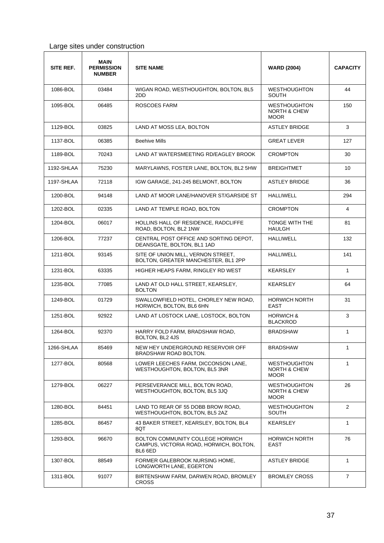#### Large sites under construction

| SITE REF.  | MAIN<br><b>PERMISSION</b><br><b>NUMBER</b> | <b>SITE NAME</b>                                                                       | <b>WARD (2004)</b>                                            | <b>CAPACITY</b> |
|------------|--------------------------------------------|----------------------------------------------------------------------------------------|---------------------------------------------------------------|-----------------|
| 1086-BOL   | 03484                                      | WIGAN ROAD, WESTHOUGHTON, BOLTON, BL5<br>2DD                                           | <b>WESTHOUGHTON</b><br><b>SOUTH</b>                           | 44              |
| 1095-BOL   | 06485                                      | <b>ROSCOES FARM</b>                                                                    | <b>WESTHOUGHTON</b><br><b>NORTH &amp; CHEW</b><br><b>MOOR</b> | 150             |
| 1129-BOL   | 03825                                      | LAND AT MOSS LEA, BOLTON                                                               | <b>ASTLEY BRIDGE</b>                                          | 3               |
| 1137-BOL   | 06385                                      | <b>Beehive Mills</b>                                                                   | <b>GREAT LEVER</b>                                            | 127             |
| 1189-BOL   | 70243                                      | LAND AT WATERSMEETING RD/EAGLEY BROOK                                                  | <b>CROMPTON</b>                                               | 30              |
| 1192-SHLAA | 75230                                      | MARYLAWNS, FOSTER LANE, BOLTON, BL2 5HW                                                | <b>BREIGHTMET</b>                                             | 10              |
| 1197-SHLAA | 72118                                      | IGW GARAGE, 241-245 BELMONT, BOLTON                                                    | <b>ASTLEY BRIDGE</b>                                          | 36              |
| 1200-BOL   | 94148                                      | LAND AT MOOR LANE/HANOVER ST/GARSIDE ST                                                | <b>HALLIWELL</b>                                              | 294             |
| 1202-BOL   | 02335                                      | LAND AT TEMPLE ROAD, BOLTON                                                            | <b>CROMPTON</b>                                               | 4               |
| 1204-BOL   | 06017                                      | HOLLINS HALL OF RESIDENCE, RADCLIFFE<br>ROAD, BOLTON, BL2 1NW                          | TONGE WITH THE<br><b>HAULGH</b>                               | 81              |
| 1206-BOL   | 77237                                      | CENTRAL POST OFFICE AND SORTING DEPOT.<br>DEANSGATE, BOLTON, BL1 1AD                   | <b>HALLIWELL</b>                                              | 132             |
| 1211-BOL   | 93145                                      | SITE OF UNION MILL, VERNON STREET,<br>BOLTON, GREATER MANCHESTER, BL1 2PP              | HALLIWELL                                                     | 141             |
| 1231-BOL   | 63335                                      | HIGHER HEAPS FARM, RINGLEY RD WEST                                                     | KEARSLEY                                                      | $\mathbf{1}$    |
| 1235-BOL   | 77085                                      | LAND AT OLD HALL STREET, KEARSLEY,<br><b>BOLTON</b>                                    | KEARSLEY                                                      | 64              |
| 1249-BOL   | 01729                                      | SWALLOWFIELD HOTEL, CHORLEY NEW ROAD,<br>HORWICH, BOLTON, BL6 6HN                      | <b>HORWICH NORTH</b><br>EAST                                  | 31              |
| 1251-BOL   | 92922                                      | LAND AT LOSTOCK LANE, LOSTOCK, BOLTON                                                  | <b>HORWICH &amp;</b><br><b>BLACKROD</b>                       | 3               |
| 1264-BOL   | 92370                                      | HARRY FOLD FARM, BRADSHAW ROAD,<br>BOLTON, BL2 4JS                                     | <b>BRADSHAW</b>                                               | 1               |
| 1266-SHLAA | 85469                                      | NEW HEY UNDERGROUND RESERVOIR OFF<br>BRADSHAW ROAD BOLTON.                             | <b>BRADSHAW</b>                                               | 1               |
| 1277-BOL   | 80568                                      | LOWER LEECHES FARM, DICCONSON LANE,<br>WESTHOUGHTON, BOLTON, BL5 3NR                   | <b>WESTHOUGHTON</b><br><b>NORTH &amp; CHEW</b><br><b>MOOR</b> | 1               |
| 1279-BOL   | 06227                                      | PERSEVERANCE MILL, BOLTON ROAD.<br>WESTHOUGHTON, BOLTON, BL5 3JQ                       | <b>WESTHOUGHTON</b><br><b>NORTH &amp; CHEW</b><br><b>MOOR</b> | 26              |
| 1280-BOL   | 84451                                      | LAND TO REAR OF 55 DOBB BROW ROAD.<br>WESTHOUGHTON, BOLTON, BL5 2AZ                    | <b>WESTHOUGHTON</b><br>SOUTH                                  | 2               |
| 1285-BOL   | 86457                                      | 43 BAKER STREET, KEARSLEY, BOLTON, BL4<br>8QT                                          | KEARSLEY                                                      | $\mathbf{1}$    |
| 1293-BOL   | 96670                                      | BOLTON COMMUNITY COLLEGE HORWICH<br>CAMPUS, VICTORIA ROAD, HORWICH, BOLTON,<br>BL6 6ED | <b>HORWICH NORTH</b><br>EAST                                  | 76              |
| 1307-BOL   | 88549                                      | FORMER GALEBROOK NURSING HOME,<br>LONGWORTH LANE, EGERTON                              | <b>ASTLEY BRIDGE</b>                                          | $\mathbf{1}$    |
| 1311-BOL   | 91077                                      | BIRTENSHAW FARM, DARWEN ROAD, BROMLEY<br><b>CROSS</b>                                  | <b>BROMLEY CROSS</b>                                          | $\overline{7}$  |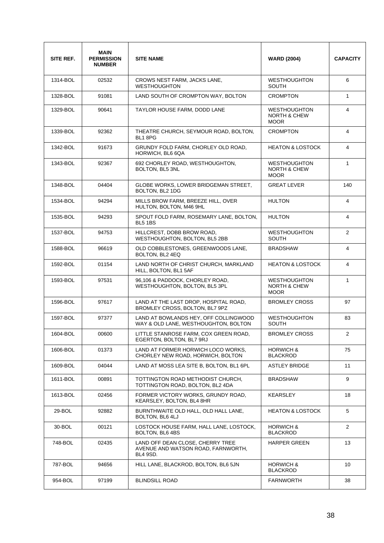| SITE REF. | <b>MAIN</b><br><b>PERMISSION</b><br><b>NUMBER</b> | <b>SITE NAME</b>                                                                   | <b>WARD (2004)</b>                                            | <b>CAPACITY</b> |
|-----------|---------------------------------------------------|------------------------------------------------------------------------------------|---------------------------------------------------------------|-----------------|
| 1314-BOL  | 02532                                             | CROWS NEST FARM, JACKS LANE,<br><b>WESTHOUGHTON</b>                                | <b>WESTHOUGHTON</b><br><b>SOUTH</b>                           | 6               |
| 1328-BOL  | 91081                                             | LAND SOUTH OF CROMPTON WAY, BOLTON                                                 | <b>CROMPTON</b>                                               | $\mathbf{1}$    |
| 1329-BOL  | 90641                                             | TAYLOR HOUSE FARM, DODD LANE                                                       | <b>WESTHOUGHTON</b><br><b>NORTH &amp; CHEW</b><br><b>MOOR</b> | 4               |
| 1339-BOL  | 92362                                             | THEATRE CHURCH, SEYMOUR ROAD, BOLTON,<br>BL1 8PG                                   | <b>CROMPTON</b>                                               | 4               |
| 1342-BOL  | 91673                                             | GRUNDY FOLD FARM, CHORLEY OLD ROAD,<br>HORWICH, BL6 6QA                            | <b>HEATON &amp; LOSTOCK</b>                                   | 4               |
| 1343-BOL  | 92367                                             | 692 CHORLEY ROAD, WESTHOUGHTON,<br>BOLTON, BL5 3NL                                 | <b>WESTHOUGHTON</b><br><b>NORTH &amp; CHEW</b><br><b>MOOR</b> | $\mathbf{1}$    |
| 1348-BOL  | 04404                                             | GLOBE WORKS, LOWER BRIDGEMAN STREET,<br>BOLTON, BL2 1DG                            | <b>GREAT LEVER</b>                                            | 140             |
| 1534-BOL  | 94294                                             | MILLS BROW FARM, BREEZE HILL, OVER<br>HULTON, BOLTON, M46 9HL                      | <b>HULTON</b>                                                 | 4               |
| 1535-BOL  | 94293                                             | SPOUT FOLD FARM, ROSEMARY LANE, BOLTON,<br><b>BL5 1BS</b>                          | <b>HULTON</b>                                                 | 4               |
| 1537-BOL  | 94753                                             | HILLCREST, DOBB BROW ROAD,<br>WESTHOUGHTON, BOLTON, BL5 2BB                        | <b>WESTHOUGHTON</b><br><b>SOUTH</b>                           | $\overline{2}$  |
| 1588-BOL  | 96619                                             | OLD COBBLESTONES, GREENWOODS LANE,<br>BOLTON, BL2 4EQ                              | <b>BRADSHAW</b>                                               | 4               |
| 1592-BOL  | 01154                                             | LAND NORTH OF CHRIST CHURCH, MARKLAND<br>HILL, BOLTON, BL1 5AF                     | <b>HEATON &amp; LOSTOCK</b>                                   | $\overline{4}$  |
| 1593-BOL  | 97531                                             | 96,106 & PADDOCK, CHORLEY ROAD,<br>WESTHOUGHTON, BOLTON, BL5 3PL                   | <b>WESTHOUGHTON</b><br><b>NORTH &amp; CHEW</b><br><b>MOOR</b> | $\mathbf{1}$    |
| 1596-BOL  | 97617                                             | LAND AT THE LAST DROP, HOSPITAL ROAD,<br>BROMLEY CROSS, BOLTON, BL7 9PZ            | <b>BROMLEY CROSS</b>                                          | 97              |
| 1597-BOL  | 97377                                             | LAND AT BOWLANDS HEY, OFF COLLINGWOOD<br>WAY & OLD LANE, WESTHOUGHTON, BOLTON      | <b>WESTHOUGHTON</b><br><b>SOUTH</b>                           | 83              |
| 1604-BOL  | 00600                                             | LITTLE STANROSE FARM, COX GREEN ROAD,<br>EGERTON, BOLTON, BL7 9RJ                  | <b>BROMLEY CROSS</b>                                          | 2               |
| 1606-BOL  | 01373                                             | LAND AT FORMER HORWICH LOCO WORKS,<br>CHORLEY NEW ROAD, HORWICH, BOLTON            | <b>HORWICH &amp;</b><br><b>BLACKROD</b>                       | 75              |
| 1609-BOL  | 04044                                             | LAND AT MOSS LEA SITE B, BOLTON, BL1 6PL                                           | <b>ASTLEY BRIDGE</b>                                          | 11              |
| 1611-BOL  | 00891                                             | TOTTINGTON ROAD METHODIST CHURCH,<br>TOTTINGTON ROAD, BOLTON, BL2 4DA              | <b>BRADSHAW</b>                                               | 9               |
| 1613-BOL  | 02456                                             | FORMER VICTORY WORKS, GRUNDY ROAD,<br>KEARSLEY, BOLTON, BL4 8HR                    | KEARSLEY                                                      | 18              |
| 29-BOL    | 92882                                             | BURNTHWAITE OLD HALL, OLD HALL LANE,<br>BOLTON, BL6 4LJ                            | <b>HEATON &amp; LOSTOCK</b>                                   | 5               |
| 30-BOL    | 00121                                             | LOSTOCK HOUSE FARM, HALL LANE, LOSTOCK,<br>BOLTON, BL6 4BS                         | <b>HORWICH &amp;</b><br><b>BLACKROD</b>                       | 2               |
| 748-BOL   | 02435                                             | LAND OFF DEAN CLOSE, CHERRY TREE<br>AVENUE AND WATSON ROAD, FARNWORTH,<br>BL4 9SD. | <b>HARPER GREEN</b>                                           | 13              |
| 787-BOL   | 94656                                             | HILL LANE, BLACKROD, BOLTON, BL6 5JN                                               | <b>HORWICH &amp;</b><br><b>BLACKROD</b>                       | 10              |
| 954-BOL   | 97199                                             | <b>BLINDSILL ROAD</b>                                                              | <b>FARNWORTH</b>                                              | 38              |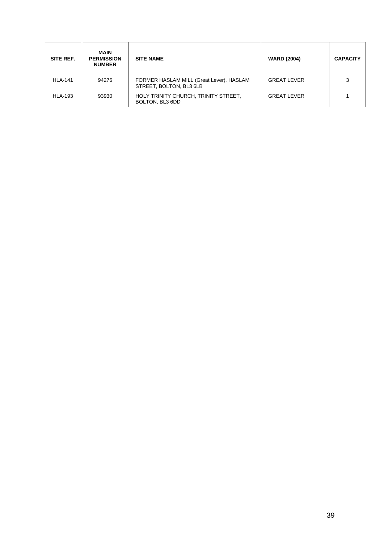| SITE REF.      | <b>MAIN</b><br><b>PERMISSION</b><br><b>NUMBER</b> | <b>SITE NAME</b>                                                    | <b>WARD (2004)</b> | <b>CAPACITY</b> |
|----------------|---------------------------------------------------|---------------------------------------------------------------------|--------------------|-----------------|
| <b>HLA-141</b> | 94276                                             | FORMER HASLAM MILL (Great Lever), HASLAM<br>STREET, BOLTON, BL3 6LB | <b>GREAT LEVER</b> | З               |
| <b>HLA-193</b> | 93930                                             | HOLY TRINITY CHURCH, TRINITY STREET,<br>BOLTON, BL3 6DD             | <b>GREAT LEVER</b> |                 |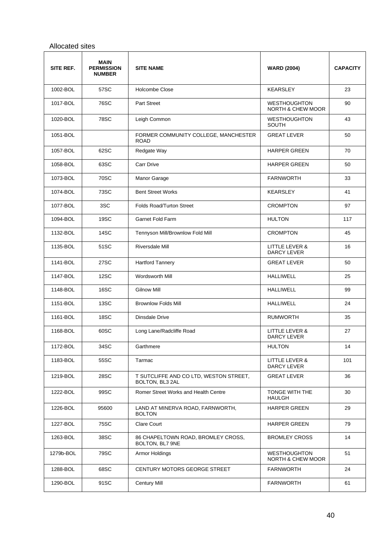#### Allocated sites

| SITE REF. | <b>MAIN</b><br><b>PERMISSION</b><br><b>NUMBER</b> | <b>SITE NAME</b>                                          | <b>WARD (2004)</b>                                  | <b>CAPACITY</b> |
|-----------|---------------------------------------------------|-----------------------------------------------------------|-----------------------------------------------------|-----------------|
| 1002-BOL  | 57SC                                              | Holcombe Close                                            | <b>KEARSLEY</b>                                     | 23              |
| 1017-BOL  | 76SC                                              | <b>Part Street</b>                                        | <b>WESTHOUGHTON</b><br><b>NORTH &amp; CHEW MOOR</b> | 90              |
| 1020-BOL  | <b>78SC</b>                                       | Leigh Common                                              | <b>WESTHOUGHTON</b><br>SOUTH                        | 43              |
| 1051-BOL  |                                                   | FORMER COMMUNITY COLLEGE, MANCHESTER<br><b>ROAD</b>       | <b>GREAT LEVER</b>                                  | 50              |
| 1057-BOL  | 62SC                                              | Redgate Way                                               | <b>HARPER GREEN</b>                                 | 70              |
| 1058-BOL  | 63SC                                              | <b>Carr Drive</b>                                         | <b>HARPER GREEN</b>                                 | 50              |
| 1073-BOL  | 70SC                                              | Manor Garage                                              | <b>FARNWORTH</b>                                    | 33              |
| 1074-BOL  | 73SC                                              | <b>Bent Street Works</b>                                  | <b>KEARSLEY</b>                                     | 41              |
| 1077-BOL  | 3SC                                               | <b>Folds Road/Turton Street</b>                           | <b>CROMPTON</b>                                     | 97              |
| 1094-BOL  | 19SC                                              | <b>Garnet Fold Farm</b>                                   | <b>HULTON</b>                                       | 117             |
| 1132-BOL  | 14SC                                              | Tennyson Mill/Brownlow Fold Mill                          | <b>CROMPTON</b>                                     | 45              |
| 1135-BOL  | 51SC                                              | <b>Riversdale Mill</b>                                    | LITTLE LEVER &<br><b>DARCY LEVER</b>                | 16              |
| 1141-BOL  | 27SC                                              | <b>Hartford Tannery</b>                                   | <b>GREAT LEVER</b>                                  | 50              |
| 1147-BOL  | 12SC                                              | Wordsworth Mill                                           | <b>HALLIWELL</b>                                    | 25              |
| 1148-BOL  | 16SC                                              | <b>Gilnow Mill</b>                                        | <b>HALLIWELL</b>                                    | 99              |
| 1151-BOL  | 13SC                                              | <b>Brownlow Folds Mill</b>                                | <b>HALLIWELL</b>                                    | 24              |
| 1161-BOL  | 18SC                                              | Dinsdale Drive                                            | <b>RUMWORTH</b>                                     | 35              |
| 1168-BOL  | 60SC                                              | Long Lane/Radcliffe Road                                  | <b>LITTLE LEVER &amp;</b><br>DARCY LEVER            | 27              |
| 1172-BOL  | 34SC                                              | Garthmere                                                 | <b>HULTON</b>                                       | 14              |
| 1183-BOL  | 55SC                                              | Tarmac                                                    | LITTLE LEVER &<br>DARCY LEVER                       | 101             |
| 1219-BOL  | 28SC                                              | T SUTCLIFFE AND CO LTD, WESTON STREET,<br>BOLTON, BL3 2AL | <b>GREAT LEVER</b>                                  | 36              |
| 1222-BOL  | 99SC                                              | Romer Street Works and Health Centre                      | <b>TONGE WITH THE</b><br>HAULGH                     | 30              |
| 1226-BOL  | 95600                                             | LAND AT MINERVA ROAD, FARNWORTH,<br><b>BOLTON</b>         | HARPER GREEN                                        | 29              |
| 1227-BOL  | 75SC                                              | <b>Clare Court</b>                                        | <b>HARPER GREEN</b>                                 | 79              |
| 1263-BOL  | 38SC                                              | 86 CHAPELTOWN ROAD, BROMLEY CROSS,<br>BOLTON, BL7 9NE     | <b>BROMLEY CROSS</b>                                | 14              |
| 1279b-BOL | 79SC                                              | Armor Holdings                                            | <b>WESTHOUGHTON</b><br>NORTH & CHEW MOOR            | 51              |
| 1288-BOL  | 68SC                                              | CENTURY MOTORS GEORGE STREET                              | <b>FARNWORTH</b>                                    | 24              |
| 1290-BOL  | 91SC                                              | <b>Century Mill</b>                                       | <b>FARNWORTH</b>                                    | 61              |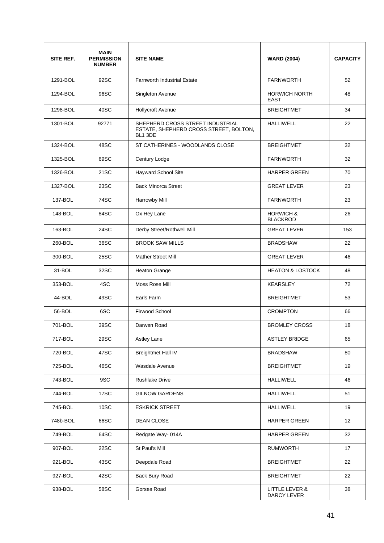| SITE REF. | <b>MAIN</b><br><b>PERMISSION</b><br><b>NUMBER</b> | <b>SITE NAME</b>                                                                      | <b>WARD (2004)</b>                      | <b>CAPACITY</b> |
|-----------|---------------------------------------------------|---------------------------------------------------------------------------------------|-----------------------------------------|-----------------|
| 1291-BOL  | 92SC                                              | <b>Farnworth Industrial Estate</b>                                                    | <b>FARNWORTH</b>                        | 52              |
| 1294-BOL  | 96SC                                              | Singleton Avenue                                                                      | <b>HORWICH NORTH</b><br><b>EAST</b>     | 48              |
| 1298-BOL  | 40SC                                              | <b>Hollycroft Avenue</b>                                                              | <b>BREIGHTMET</b>                       | 34              |
| 1301-BOL  | 92771                                             | SHEPHERD CROSS STREET INDUSTRIAL<br>ESTATE, SHEPHERD CROSS STREET, BOLTON,<br>BL1 3DE | <b>HALLIWELL</b>                        | 22              |
| 1324-BOL  | 48SC                                              | ST CATHERINES - WOODLANDS CLOSE                                                       | <b>BREIGHTMET</b>                       | 32              |
| 1325-BOL  | 69SC                                              | Century Lodge                                                                         | <b>FARNWORTH</b>                        | 32              |
| 1326-BOL  | 21SC                                              | Hayward School Site                                                                   | <b>HARPER GREEN</b>                     | 70              |
| 1327-BOL  | 23SC                                              | <b>Back Minorca Street</b>                                                            | <b>GREAT LEVER</b>                      | 23              |
| 137-BOL   | 74SC                                              | Harrowby Mill                                                                         | <b>FARNWORTH</b>                        | 23              |
| 148-BOL   | 84SC                                              | Ox Hey Lane                                                                           | <b>HORWICH &amp;</b><br><b>BLACKROD</b> | 26              |
| 163-BOL   | 24SC                                              | Derby Street/Rothwell Mill                                                            | <b>GREAT LEVER</b>                      | 153             |
| 260-BOL   | 36SC                                              | <b>BROOK SAW MILLS</b>                                                                | <b>BRADSHAW</b>                         | 22              |
| 300-BOL   | 25SC                                              | <b>Mather Street Mill</b>                                                             | <b>GREAT LEVER</b>                      | 46              |
| 31-BOL    | 32SC                                              | Heaton Grange                                                                         | <b>HEATON &amp; LOSTOCK</b>             | 48              |
| 353-BOL   | 4SC                                               | Moss Rose Mill                                                                        | <b>KEARSLEY</b>                         | 72              |
| 44-BOL    | 49SC                                              | Earls Farm                                                                            | <b>BREIGHTMET</b>                       | 53              |
| 56-BOL    | 6SC                                               | Firwood School                                                                        | <b>CROMPTON</b>                         | 66              |
| 701-BOL   | 39SC                                              | Darwen Road                                                                           | <b>BROMLEY CROSS</b>                    | 18              |
| 717-BOL   | 29SC                                              | Astley Lane                                                                           | <b>ASTLEY BRIDGE</b>                    | 65              |
| 720-BOL   | 47SC                                              | <b>Breightmet Hall IV</b>                                                             | <b>BRADSHAW</b>                         | 80              |
| 725-BOL   | 46SC                                              | Wasdale Avenue                                                                        | <b>BREIGHTMET</b>                       | 19              |
| 743-BOL   | 9SC                                               | <b>Rushlake Drive</b>                                                                 | <b>HALLIWELL</b>                        | 46              |
| 744-BOL   | 17SC                                              | <b>GILNOW GARDENS</b>                                                                 | <b>HALLIWELL</b>                        | 51              |
| 745-BOL   | 10SC                                              | <b>ESKRICK STREET</b>                                                                 | <b>HALLIWELL</b>                        | 19              |
| 748b-BOL  | 66SC                                              | DEAN CLOSE                                                                            | <b>HARPER GREEN</b>                     | 12              |
| 749-BOL   | 64SC                                              | Redgate Way-014A                                                                      | <b>HARPER GREEN</b>                     | 32              |
| 907-BOL   | 22SC                                              | St Paul's Mill                                                                        | <b>RUMWORTH</b>                         | 17              |
| 921-BOL   | 43SC                                              | Deepdale Road                                                                         | <b>BREIGHTMET</b>                       | 22              |
| 927-BOL   | 42SC                                              | Back Bury Road                                                                        | <b>BREIGHTMET</b>                       | 22              |
| 938-BOL   | 58SC                                              | Gorses Road                                                                           | LITTLE LEVER &<br>DARCY LEVER           | 38              |